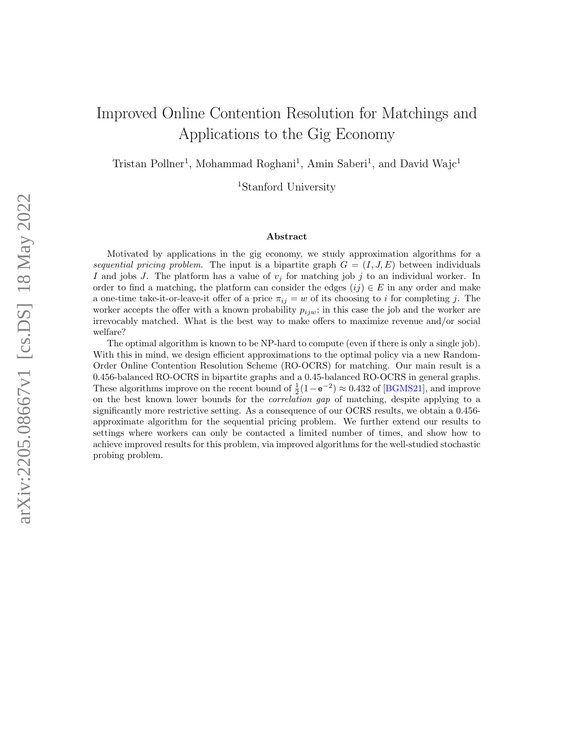# Improved Online Contention Resolution for Matchings and Applications to the Gig Economy

Tristan Pollner<sup>1</sup>, Mohammad Roghani<sup>1</sup>, Amin Saberi<sup>1</sup>, and David Wajc<sup>1</sup>

<sup>1</sup>Stanford University

#### Abstract

Motivated by applications in the gig economy, we study approximation algorithms for a sequential pricing problem. The input is a bipartite graph  $G = (I, J, E)$  between individuals I and jobs J. The platform has a value of  $v_j$  for matching job j to an individual worker. In order to find a matching, the platform can consider the edges  $(ij) \in E$  in any order and make a one-time take-it-or-leave-it offer of a price  $\pi_{ij} = w$  of its choosing to i for completing j. The worker accepts the offer with a known probability  $p_{ijw}$ ; in this case the job and the worker are irrevocably matched. What is the best way to make offers to maximize revenue and/or social welfare?

The optimal algorithm is known to be NP-hard to compute (even if there is only a single job). With this in mind, we design efficient approximations to the optimal policy via a new Random-Order Online Contention Resolution Scheme (RO-OCRS) for matching. Our main result is a 0.456-balanced RO-OCRS in bipartite graphs and a 0.45-balanced RO-OCRS in general graphs. These algorithms improve on the recent bound of  $\frac{1}{2}(1-e^{-2}) \approx 0.432$  of [\[BGMS21\]](#page-21-0), and improve on the best known lower bounds for the correlation gap of matching, despite applying to a significantly more restrictive setting. As a consequence of our OCRS results, we obtain a 0.456 approximate algorithm for the sequential pricing problem. We further extend our results to settings where workers can only be contacted a limited number of times, and show how to achieve improved results for this problem, via improved algorithms for the well-studied stochastic probing problem.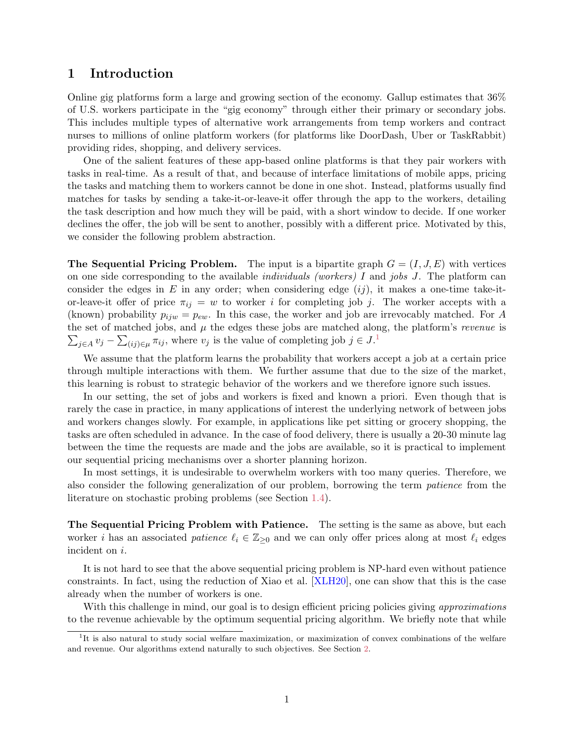# <span id="page-1-1"></span>1 Introduction

Online gig platforms form a large and growing section of the economy. Gallup estimates that 36% of U.S. workers participate in the "gig economy" through either their primary or secondary jobs. This includes multiple types of alternative work arrangements from temp workers and contract nurses to millions of online platform workers (for platforms like DoorDash, Uber or TaskRabbit) providing rides, shopping, and delivery services.

One of the salient features of these app-based online platforms is that they pair workers with tasks in real-time. As a result of that, and because of interface limitations of mobile apps, pricing the tasks and matching them to workers cannot be done in one shot. Instead, platforms usually find matches for tasks by sending a take-it-or-leave-it offer through the app to the workers, detailing the task description and how much they will be paid, with a short window to decide. If one worker declines the offer, the job will be sent to another, possibly with a different price. Motivated by this, we consider the following problem abstraction.

**The Sequential Pricing Problem.** The input is a bipartite graph  $G = (I, J, E)$  with vertices on one side corresponding to the available *individuals (workers)* I and *jobs J*. The platform can consider the edges in E in any order; when considering edge  $(ij)$ , it makes a one-time take-itor-leave-it offer of price  $\pi_{ij} = w$  to worker *i* for completing job *j*. The worker accepts with a (known) probability  $p_{ijw} = p_{ew}$ . In this case, the worker and job are irrevocably matched. For A  $\sum_{j\in A} v_j - \sum_{(ij)\in \mu} \pi_{ij}$ , where  $v_j$  is the value of completing job  $j \in J$ .<sup>[1](#page-1-0)</sup> the set of matched jobs, and  $\mu$  the edges these jobs are matched along, the platform's *revenue* is

We assume that the platform learns the probability that workers accept a job at a certain price through multiple interactions with them. We further assume that due to the size of the market, this learning is robust to strategic behavior of the workers and we therefore ignore such issues.

In our setting, the set of jobs and workers is fixed and known a priori. Even though that is rarely the case in practice, in many applications of interest the underlying network of between jobs and workers changes slowly. For example, in applications like pet sitting or grocery shopping, the tasks are often scheduled in advance. In the case of food delivery, there is usually a 20-30 minute lag between the time the requests are made and the jobs are available, so it is practical to implement our sequential pricing mechanisms over a shorter planning horizon.

In most settings, it is undesirable to overwhelm workers with too many queries. Therefore, we also consider the following generalization of our problem, borrowing the term patience from the literature on stochastic probing problems (see Section [1.4\)](#page-4-0).

The Sequential Pricing Problem with Patience. The setting is the same as above, but each worker i has an associated patience  $\ell_i \in \mathbb{Z}_{\geq 0}$  and we can only offer prices along at most  $\ell_i$  edges incident on i.

It is not hard to see that the above sequential pricing problem is NP-hard even without patience constraints. In fact, using the reduction of Xiao et al. [\[XLH20\]](#page-23-0), one can show that this is the case already when the number of workers is one.

With this challenge in mind, our goal is to design efficient pricing policies giving *approximations* to the revenue achievable by the optimum sequential pricing algorithm. We briefly note that while

<span id="page-1-0"></span><sup>&</sup>lt;sup>1</sup>It is also natural to study social welfare maximization, or maximization of convex combinations of the welfare and revenue. Our algorithms extend naturally to such objectives. See Section [2.](#page-5-0)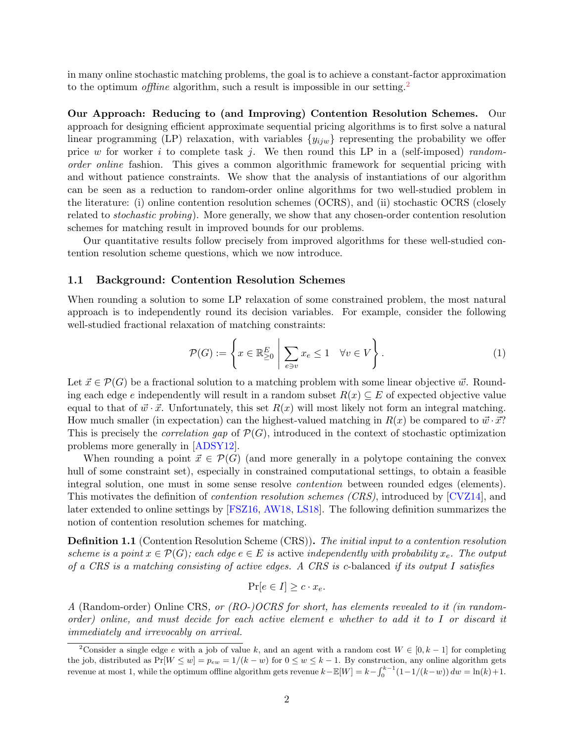<span id="page-2-1"></span>in many online stochastic matching problems, the goal is to achieve a constant-factor approximation to the optimum *offline* algorithm, such a result is impossible in our setting.<sup>[2](#page-2-0)</sup>

Our Approach: Reducing to (and Improving) Contention Resolution Schemes. Our approach for designing efficient approximate sequential pricing algorithms is to first solve a natural linear programming (LP) relaxation, with variables  $\{y_{ijw}\}$  representing the probability we offer price w for worker i to complete task j. We then round this LP in a (self-imposed) randomorder online fashion. This gives a common algorithmic framework for sequential pricing with and without patience constraints. We show that the analysis of instantiations of our algorithm can be seen as a reduction to random-order online algorithms for two well-studied problem in the literature: (i) online contention resolution schemes (OCRS), and (ii) stochastic OCRS (closely related to stochastic probing). More generally, we show that any chosen-order contention resolution schemes for matching result in improved bounds for our problems.

Our quantitative results follow precisely from improved algorithms for these well-studied contention resolution scheme questions, which we now introduce.

#### 1.1 Background: Contention Resolution Schemes

When rounding a solution to some LP relaxation of some constrained problem, the most natural approach is to independently round its decision variables. For example, consider the following well-studied fractional relaxation of matching constraints:

$$
\mathcal{P}(G) := \left\{ x \in \mathbb{R}^E_{\geq 0} \; \middle| \; \sum_{e \ni v} x_e \leq 1 \quad \forall v \in V \right\}.
$$
 (1)

Let  $\vec{x} \in \mathcal{P}(G)$  be a fractional solution to a matching problem with some linear objective  $\vec{w}$ . Rounding each edge e independently will result in a random subset  $R(x) \subseteq E$  of expected objective value equal to that of  $\vec{w} \cdot \vec{x}$ . Unfortunately, this set  $R(x)$  will most likely not form an integral matching. How much smaller (in expectation) can the highest-valued matching in  $R(x)$  be compared to  $\vec{w} \cdot \vec{x}$ ? This is precisely the *correlation gap* of  $\mathcal{P}(G)$ , introduced in the context of stochastic optimization problems more generally in [\[ADSY12\]](#page-21-1).

When rounding a point  $\vec{x} \in \mathcal{P}(G)$  (and more generally in a polytope containing the convex hull of some constraint set), especially in constrained computational settings, to obtain a feasible integral solution, one must in some sense resolve *contention* between rounded edges (elements). This motivates the definition of contention resolution schemes (CRS), introduced by [\[CVZ14\]](#page-22-0), and later extended to online settings by [\[FSZ16,](#page-22-1) [AW18,](#page-21-2) [LS18\]](#page-23-1). The following definition summarizes the notion of contention resolution schemes for matching.

**Definition 1.1** (Contention Resolution Scheme (CRS)). The initial input to a contention resolution scheme is a point  $x \in \mathcal{P}(G)$ ; each edge  $e \in E$  is active independently with probability  $x_e$ . The output of a CRS is a matching consisting of active edges. A CRS is c-balanced if its output I satisfies

$$
\Pr[e \in I] \ge c \cdot x_e.
$$

A (Random-order) Online CRS, or (RO-)OCRS for short, has elements revealed to it (in randomorder) online, and must decide for each active element e whether to add it to I or discard it immediately and irrevocably on arrival.

<span id="page-2-0"></span><sup>&</sup>lt;sup>2</sup>Consider a single edge e with a job of value k, and an agent with a random cost  $W \in [0, k-1]$  for completing the job, distributed as  $Pr[W \le w] = p_{ew} = 1/(k - w)$  for  $0 \le w \le k - 1$ . By construction, any online algorithm gets revenue at most 1, while the optimum offline algorithm gets revenue  $k - \mathbb{E}[W] = k - \int_0^{k-1} (1 - 1/(k-w)) dw = \ln(k) + 1$ .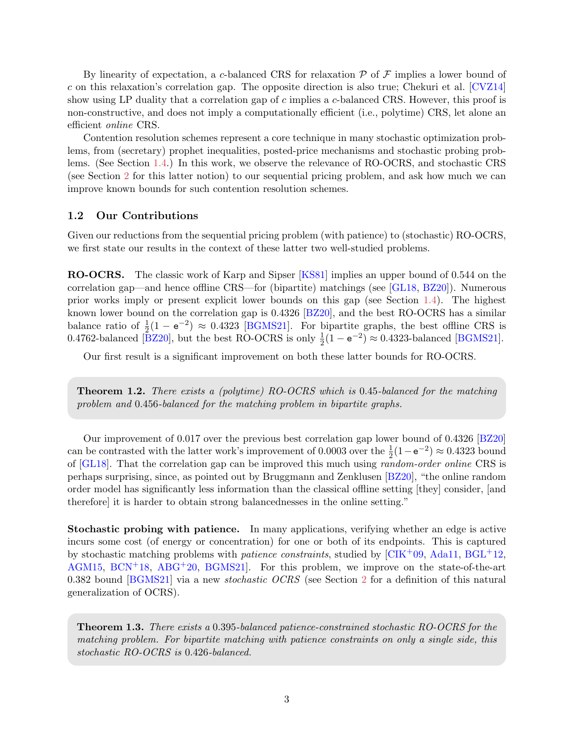<span id="page-3-2"></span>By linearity of expectation, a c-balanced CRS for relaxation  $P$  of  $F$  implies a lower bound of c on this relaxation's correlation gap. The opposite direction is also true; Chekuri et al.  $[CVZ14]$ show using LP duality that a correlation gap of  $c$  implies a  $c$ -balanced CRS. However, this proof is non-constructive, and does not imply a computationally efficient (i.e., polytime) CRS, let alone an efficient online CRS.

Contention resolution schemes represent a core technique in many stochastic optimization problems, from (secretary) prophet inequalities, posted-price mechanisms and stochastic probing problems. (See Section [1.4.](#page-4-0)) In this work, we observe the relevance of RO-OCRS, and stochastic CRS (see Section [2](#page-5-0) for this latter notion) to our sequential pricing problem, and ask how much we can improve known bounds for such contention resolution schemes.

#### 1.2 Our Contributions

Given our reductions from the sequential pricing problem (with patience) to (stochastic) RO-OCRS, we first state our results in the context of these latter two well-studied problems.

RO-OCRS. The classic work of Karp and Sipser [\[KS81\]](#page-23-2) implies an upper bound of 0.544 on the correlation gap—and hence offline CRS—for (bipartite) matchings (see [\[GL18,](#page-22-2) [BZ20\]](#page-21-3)). Numerous prior works imply or present explicit lower bounds on this gap (see Section [1.4\)](#page-4-0). The highest known lower bound on the correlation gap is 0.4326 [\[BZ20\]](#page-21-3), and the best RO-OCRS has a similar balance ratio of  $\frac{1}{2}(1 - e^{-2}) \approx 0.4323$  [\[BGMS21\]](#page-21-0). For bipartite graphs, the best offline CRS is 0.4762-balanced [\[BZ20\]](#page-21-3), but the best RO-OCRS is only  $\frac{1}{2}(1 - e^{-2}) \approx 0.4323$ -balanced [\[BGMS21\]](#page-21-0).

Our first result is a significant improvement on both these latter bounds for RO-OCRS.

<span id="page-3-1"></span>**Theorem 1.2.** There exists a (polytime) RO-OCRS which is 0.45-balanced for the matching problem and 0.456-balanced for the matching problem in bipartite graphs.

Our improvement of 0.017 over the previous best correlation gap lower bound of 0.4326 [\[BZ20\]](#page-21-3) can be contrasted with the latter work's improvement of 0.0003 over the  $\frac{1}{2}(1 - e^{-2}) \approx 0.4323$  bound of [\[GL18\]](#page-22-2). That the correlation gap can be improved this much using random-order online CRS is perhaps surprising, since, as pointed out by Bruggmann and Zenklusen [\[BZ20\]](#page-21-3), "the online random order model has significantly less information than the classical offline setting [they] consider, [and therefore] it is harder to obtain strong balancednesses in the online setting."

Stochastic probing with patience. In many applications, verifying whether an edge is active incurs some cost (of energy or concentration) for one or both of its endpoints. This is captured by stochastic matching problems with *patience constraints*, studied by  $\left[ \text{CIK}^{+}09, \text{Ada11}, \text{BGL}^{+}12, \text{Ada11}, \text{Ada11}, \text{Ada11}, \text{Ada11}, \text{Ada11}, \text{Ada11}, \text{Ada11}, \text{Ada11}, \text{Ada11}, \text{Ada11}, \text{Ada11}, \text{Ada11}, \text{Ada11}, \text{Ada11}, \$  $\left[ \text{CIK}^{+}09, \text{Ada11}, \text{BGL}^{+}12, \text{Ada11}, \text{Ada11}, \text{Ada11}, \text{Ada11}, \text{Ada11}, \text{Ada11}, \text{Ada11}, \text{Ada11}, \text{Ada11}, \text{Ada11}, \text{Ada11}, \text{Ada11}, \text{Ada11}, \text{Ada11}, \$  $\left[ \text{CIK}^{+}09, \text{Ada11}, \text{BGL}^{+}12, \text{Ada11}, \text{Ada11}, \text{Ada11}, \text{Ada11}, \text{Ada11}, \text{Ada11}, \text{Ada11}, \text{Ada11}, \text{Ada11}, \text{Ada11}, \text{Ada11}, \text{Ada11}, \text{Ada11}, \text{Ada11}, \$ [AGM15,](#page-21-6)  $BCN<sup>+</sup>18$  $BCN<sup>+</sup>18$ ,  $ABG<sup>+</sup>20$  $ABG<sup>+</sup>20$ ,  $BGMS21$ . For this problem, we improve on the state-of-the-art 0.382 bound [\[BGMS21\]](#page-21-0) via a new *stochastic OCRS* (see Section [2](#page-5-0) for a definition of this natural generalization of OCRS).

<span id="page-3-0"></span>Theorem 1.3. There exists a 0.395-balanced patience-constrained stochastic RO-OCRS for the matching problem. For bipartite matching with patience constraints on only a single side, this stochastic RO-OCRS is 0.426-balanced.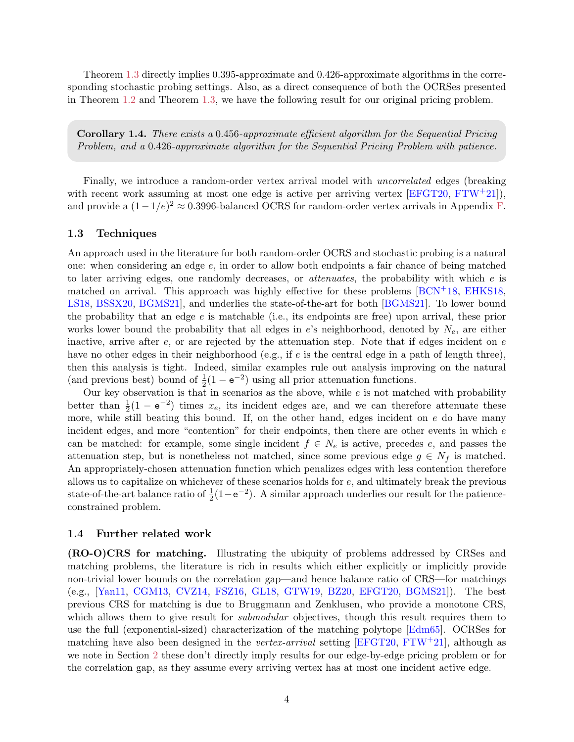<span id="page-4-1"></span>Theorem [1.3](#page-3-0) directly implies 0.395-approximate and 0.426-approximate algorithms in the corresponding stochastic probing settings. Also, as a direct consequence of both the OCRSes presented in Theorem [1.2](#page-3-1) and Theorem [1.3,](#page-3-0) we have the following result for our original pricing problem.

Corollary 1.4. There exists a 0.456-approximate efficient algorithm for the Sequential Pricing Problem, and a 0.426-approximate algorithm for the Sequential Pricing Problem with patience.

Finally, we introduce a random-order vertex arrival model with uncorrelated edges (breaking with recent work assuming at most one edge is active per arriving vertex  $[EFGT20, FTW+21]$  $[EFGT20, FTW+21]$  $[EFGT20, FTW+21]$  $[EFGT20, FTW+21]$ , and provide a  $(1-1/e)^2 \approx 0.3996$ -balanced OCRS for random-order vertex arrivals in Appendix [F.](#page-31-0)

#### 1.3 Techniques

An approach used in the literature for both random-order OCRS and stochastic probing is a natural one: when considering an edge e, in order to allow both endpoints a fair chance of being matched to later arriving edges, one randomly decreases, or *attenuates*, the probability with which  $e$  is matched on arrival. This approach was highly effective for these problems  $[BCN<sup>+</sup>18, EHKS18,$  $[BCN<sup>+</sup>18, EHKS18,$  $[BCN<sup>+</sup>18, EHKS18,$ [LS18,](#page-23-1) [BSSX20,](#page-21-9) [BGMS21\]](#page-21-0), and underlies the state-of-the-art for both [\[BGMS21\]](#page-21-0). To lower bound the probability that an edge e is matchable (i.e., its endpoints are free) upon arrival, these prior works lower bound the probability that all edges in  $e$ 's neighborhood, denoted by  $N_e$ , are either inactive, arrive after  $e$ , or are rejected by the attenuation step. Note that if edges incident on  $e$ have no other edges in their neighborhood (e.g., if e is the central edge in a path of length three), then this analysis is tight. Indeed, similar examples rule out analysis improving on the natural (and previous best) bound of  $\frac{1}{2}(1 - e^{-2})$  using all prior attenuation functions.

Our key observation is that in scenarios as the above, while  $e$  is not matched with probability better than  $\frac{1}{2}(1 - e^{-2})$  times  $x_e$ , its incident edges are, and we can therefore attenuate these more, while still beating this bound. If, on the other hand, edges incident on  $e$  do have many incident edges, and more "contention" for their endpoints, then there are other events in which e can be matched: for example, some single incident  $f \in N_e$  is active, precedes e, and passes the attenuation step, but is nonetheless not matched, since some previous edge  $g \in N_f$  is matched. An appropriately-chosen attenuation function which penalizes edges with less contention therefore allows us to capitalize on whichever of these scenarios holds for e, and ultimately break the previous state-of-the-art balance ratio of  $\frac{1}{2}(1-e^{-2})$ . A similar approach underlies our result for the patienceconstrained problem.

#### <span id="page-4-0"></span>1.4 Further related work

(RO-O)CRS for matching. Illustrating the ubiquity of problems addressed by CRSes and matching problems, the literature is rich in results which either explicitly or implicitly provide non-trivial lower bounds on the correlation gap—and hence balance ratio of CRS—for matchings (e.g., [\[Yan11,](#page-23-3) [CGM13,](#page-21-10) [CVZ14,](#page-22-0) [FSZ16,](#page-22-1) [GL18,](#page-22-2) [GTW19,](#page-23-4) [BZ20,](#page-21-3) [EFGT20,](#page-22-4) [BGMS21\]](#page-21-0)). The best previous CRS for matching is due to Bruggmann and Zenklusen, who provide a monotone CRS, which allows them to give result for *submodular* objectives, though this result requires them to use the full (exponential-sized) characterization of the matching polytope [\[Edm65\]](#page-22-7). OCRSes for matching have also been designed in the vertex-arrival setting [\[EFGT20,](#page-22-4) [FTW](#page-22-5)+21], although as we note in Section [2](#page-5-0) these don't directly imply results for our edge-by-edge pricing problem or for the correlation gap, as they assume every arriving vertex has at most one incident active edge.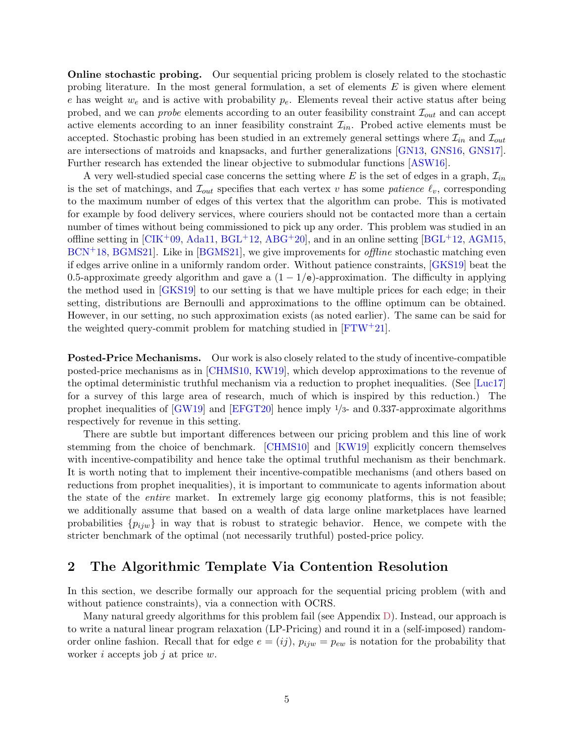<span id="page-5-1"></span>**Online stochastic probing.** Our sequential pricing problem is closely related to the stochastic probing literature. In the most general formulation, a set of elements  $E$  is given where element e has weight  $w_e$  and is active with probability  $p_e$ . Elements reveal their active status after being probed, and we can *probe* elements according to an outer feasibility constraint  $\mathcal{I}_{out}$  and can accept active elements according to an inner feasibility constraint  $\mathcal{I}_{in}$ . Probed active elements must be accepted. Stochastic probing has been studied in an extremely general settings where  $\mathcal{I}_{in}$  and  $\mathcal{I}_{out}$ are intersections of matroids and knapsacks, and further generalizations [\[GN13,](#page-22-8) [GNS16,](#page-22-9) [GNS17\]](#page-23-5). Further research has extended the linear objective to submodular functions [\[ASW16\]](#page-21-11).

A very well-studied special case concerns the setting where E is the set of edges in a graph,  $\mathcal{I}_{in}$ is the set of matchings, and  $\mathcal{I}_{out}$  specifies that each vertex v has some patience  $\ell_v$ , corresponding to the maximum number of edges of this vertex that the algorithm can probe. This is motivated for example by food delivery services, where couriers should not be contacted more than a certain number of times without being commissioned to pick up any order. This problem was studied in an offline setting in  $\left[\text{CIK}^+09, \text{Ada11}, \text{BGL}^+12, \text{ABG}^+20\right]$  $\left[\text{CIK}^+09, \text{Ada11}, \text{BGL}^+12, \text{ABG}^+20\right]$  $\left[\text{CIK}^+09, \text{Ada11}, \text{BGL}^+12, \text{ABG}^+20\right]$  $\left[\text{CIK}^+09, \text{Ada11}, \text{BGL}^+12, \text{ABG}^+20\right]$  $\left[\text{CIK}^+09, \text{Ada11}, \text{BGL}^+12, \text{ABG}^+20\right]$ , and in an online setting  $\left[\text{BGL}^+12, \text{AGM15}, \text{Ada11}\right]$  $BCN<sup>+</sup>18, BGMS21$  $BCN<sup>+</sup>18, BGMS21$ . Like in [[BGMS21\]](#page-21-0), we give improvements for *offline* stochastic matching even if edges arrive online in a uniformly random order. Without patience constraints, [\[GKS19\]](#page-22-10) beat the 0.5-approximate greedy algorithm and gave a  $(1 - 1/e)$ -approximation. The difficulty in applying the method used in [\[GKS19\]](#page-22-10) to our setting is that we have multiple prices for each edge; in their setting, distributions are Bernoulli and approximations to the offline optimum can be obtained. However, in our setting, no such approximation exists (as noted earlier). The same can be said for the weighted query-commit problem for matching studied in  $[FTW^+21]$  $[FTW^+21]$ .

Posted-Price Mechanisms. Our work is also closely related to the study of incentive-compatible posted-price mechanisms as in [\[CHMS10,](#page-22-11) [KW19\]](#page-23-6), which develop approximations to the revenue of the optimal deterministic truthful mechanism via a reduction to prophet inequalities. (See [\[Luc17\]](#page-23-7) for a survey of this large area of research, much of which is inspired by this reduction.) The prophet inequalities of [\[GW19\]](#page-23-8) and [\[EFGT20\]](#page-22-4) hence imply 1/3- and 0.337-approximate algorithms respectively for revenue in this setting.

There are subtle but important differences between our pricing problem and this line of work stemming from the choice of benchmark. [\[CHMS10\]](#page-22-11) and [\[KW19\]](#page-23-6) explicitly concern themselves with incentive-compatibility and hence take the optimal truthful mechanism as their benchmark. It is worth noting that to implement their incentive-compatible mechanisms (and others based on reductions from prophet inequalities), it is important to communicate to agents information about the state of the entire market. In extremely large gig economy platforms, this is not feasible; we additionally assume that based on a wealth of data large online marketplaces have learned probabilities  $\{p_{ijw}\}\$ in way that is robust to strategic behavior. Hence, we compete with the stricter benchmark of the optimal (not necessarily truthful) posted-price policy.

## <span id="page-5-0"></span>2 The Algorithmic Template Via Contention Resolution

In this section, we describe formally our approach for the sequential pricing problem (with and without patience constraints), via a connection with OCRS.

Many natural greedy algorithms for this problem fail (see Appendix [D\)](#page-30-0). Instead, our approach is to write a natural linear program relaxation (LP-Pricing) and round it in a (self-imposed) randomorder online fashion. Recall that for edge  $e = (ij)$ ,  $p_{ijw} = p_{ew}$  is notation for the probability that worker i accepts job j at price  $w$ .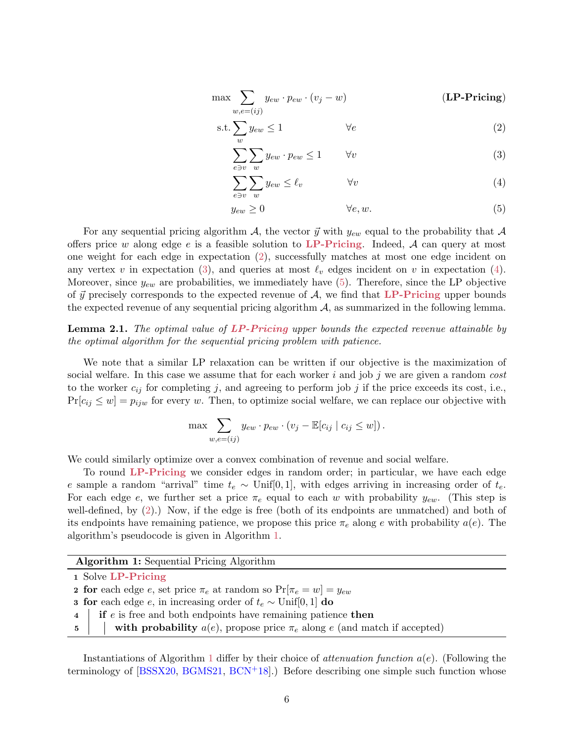<span id="page-6-7"></span>
$$
\max \sum_{w,e=(ij)} y_{ew} \cdot p_{ew} \cdot (v_j - w) \qquad (\text{LP-Pricing})
$$

$$
s.t. \sum_{w} y_{ew} \le 1 \qquad \qquad \forall e \tag{2}
$$

<span id="page-6-2"></span><span id="page-6-1"></span><span id="page-6-0"></span>
$$
\sum_{e \ni v} \sum_{w} y_{ew} \cdot p_{ew} \le 1 \qquad \forall v \tag{3}
$$

$$
\sum_{e \ni v} \sum_{w} y_{ew} \le \ell_v \qquad \forall v \tag{4}
$$

<span id="page-6-4"></span><span id="page-6-3"></span>
$$
y_{ew} \ge 0 \qquad \qquad \forall e, w. \tag{5}
$$

For any sequential pricing algorithm A, the vector  $\vec{y}$  with  $y_{ew}$  equal to the probability that A offers price w along edge e is a feasible solution to [LP-Pricing](#page-6-0). Indeed,  $A$  can query at most one weight for each edge in expectation [\(2\)](#page-6-1), successfully matches at most one edge incident on any vertex v in expectation [\(3\)](#page-6-2), and queries at most  $\ell_v$  edges incident on v in expectation [\(4\)](#page-6-3). Moreover, since  $y_{ew}$  are probabilities, we immediately have  $(5)$ . Therefore, since the LP objective of  $\vec{y}$  precisely corresponds to the expected revenue of A, we find that [LP-Pricing](#page-6-0) upper bounds the expected revenue of any sequential pricing algorithm  $A$ , as summarized in the following lemma.

### <span id="page-6-6"></span>**Lemma 2.1.** The optimal value of [LP-Pricing](#page-6-0) upper bounds the expected revenue attainable by the optimal algorithm for the sequential pricing problem with patience.

We note that a similar LP relaxation can be written if our objective is the maximization of social welfare. In this case we assume that for each worker i and job j we are given a random  $cost$ to the worker  $c_{ij}$  for completing j, and agreeing to perform job j if the price exceeds its cost, i.e.,  $Pr[c_{ij} \leq w] = p_{ijw}$  for every w. Then, to optimize social welfare, we can replace our objective with

$$
\max \sum_{w,e=(ij)} y_{ew} \cdot p_{ew} \cdot (v_j - \mathbb{E}[c_{ij} | c_{ij} \leq w]).
$$

We could similarly optimize over a convex combination of revenue and social welfare.

To round [LP-Pricing](#page-6-0) we consider edges in random order; in particular, we have each edge e sample a random "arrival" time  $t_e \sim \text{Unif}[0,1]$ , with edges arriving in increasing order of  $t_e$ . For each edge e, we further set a price  $\pi_e$  equal to each w with probability  $y_{ew}$ . (This step is well-defined, by [\(2\)](#page-6-1).) Now, if the edge is free (both of its endpoints are unmatched) and both of its endpoints have remaining patience, we propose this price  $\pi_e$  along e with probability  $a(e)$ . The algorithm's pseudocode is given in Algorithm [1.](#page-6-5)

|  | <b>Algorithm 1:</b> Sequential Pricing Algorithm |  |  |
|--|--------------------------------------------------|--|--|
|--|--------------------------------------------------|--|--|

|  |  |  | 1 Solve LP-Pricing |
|--|--|--|--------------------|
|--|--|--|--------------------|

**2 for** each edge e, set price  $\pi_e$  at random so  $Pr[\pi_e = w] = y_{ew}$ 

- **3 for** each edge *e*, in increasing order of  $t_e \sim \text{Unif}[0, 1]$  do
- $\mathbf{4}$  if e is free and both endpoints have remaining patience then
- <span id="page-6-5"></span>5 with probability  $a(e)$ , propose price  $\pi_e$  along e (and match if accepted)

Instantiations of Algorithm [1](#page-6-5) differ by their choice of *attenuation function*  $a(e)$ *.* (Following the terminology of  $[BSSX20, BGMS21, BCN<sup>+</sup>18]$  $[BSSX20, BGMS21, BCN<sup>+</sup>18]$  $[BSSX20, BGMS21, BCN<sup>+</sup>18]$  $[BSSX20, BGMS21, BCN<sup>+</sup>18]$  $[BSSX20, BGMS21, BCN<sup>+</sup>18]$  $[BSSX20, BGMS21, BCN<sup>+</sup>18]$ .) Before describing one simple such function whose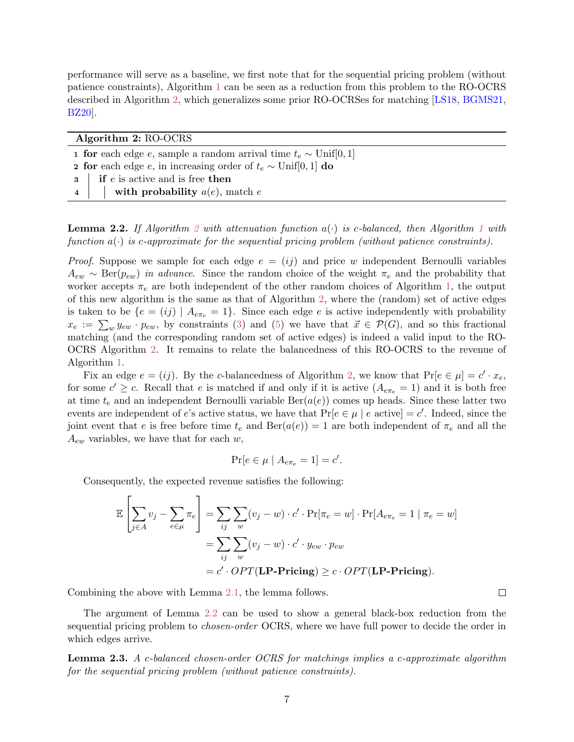<span id="page-7-3"></span>performance will serve as a baseline, we first note that for the sequential pricing problem (without patience constraints), Algorithm [1](#page-6-5) can be seen as a reduction from this problem to the RO-OCRS described in Algorithm [2,](#page-7-0) which generalizes some prior RO-OCRSes for matching [\[LS18,](#page-23-1) [BGMS21,](#page-21-0) [BZ20\]](#page-21-3).

| Algorithm 2: RO-OCRS |                                                                                    |
|----------------------|------------------------------------------------------------------------------------|
|                      | <b>1 for</b> each edge e, sample a random arrival time $t_e \sim \text{Unif}[0,1]$ |
|                      | <b>2 for</b> each edge e, in increasing order of $t_e \sim \text{Unif}[0, 1]$ do   |
|                      | $\mathbf{3}$   if <i>e</i> is active and is free then                              |
|                      | 4     with probability $a(e)$ , match e                                            |

<span id="page-7-2"></span><span id="page-7-1"></span><span id="page-7-0"></span>**Lemma [2](#page-7-0).2.** If Algorithm 2 with attenuation function  $a(\cdot)$  is c-balanced, then Algorithm [1](#page-6-5) with function  $a(\cdot)$  is c-approximate for the sequential pricing problem (without patience constraints).

*Proof.* Suppose we sample for each edge  $e = (ij)$  and price w independent Bernoulli variables  $A_{ew} \sim \text{Ber}(p_{ew})$  in advance. Since the random choice of the weight  $\pi_e$  and the probability that worker accepts  $\pi_e$  are both independent of the other random choices of Algorithm [1,](#page-6-5) the output of this new algorithm is the same as that of Algorithm [2,](#page-7-0) where the (random) set of active edges is taken to be  $\{e = (ij) \mid A_{e\pi_e} = 1\}$ . Since each edge e is active independently with probability  $x_e := \sum_w y_{ew} \cdot p_{ew}$ , by constraints [\(3\)](#page-6-2) and [\(5\)](#page-6-4) we have that  $\vec{x} \in \mathcal{P}(G)$ , and so this fractional matching (and the corresponding random set of active edges) is indeed a valid input to the RO-OCRS Algorithm [2.](#page-7-0) It remains to relate the balancedness of this RO-OCRS to the revenue of Algorithm [1.](#page-6-5)

Fix an edge  $e = (ij)$ . By the c-balancedness of Algorithm [2,](#page-7-0) we know that  $Pr[e \in \mu] = c' \cdot x_e$ , for some  $c' \geq c$ . Recall that e is matched if and only if it is active  $(A_{e\pi_e} = 1)$  and it is both free at time  $t_e$  and an independent Bernoulli variable  $Ber(a(e))$  comes up heads. Since these latter two events are independent of e's active status, we have that  $Pr[e \in \mu \mid e \text{ active}] = c'$ . Indeed, since the joint event that e is free before time  $t_e$  and  $Ber(a(e)) = 1$  are both independent of  $\pi_e$  and all the  $A_{ew}$  variables, we have that for each w,

$$
\Pr[e \in \mu \mid A_{e\pi_e} = 1] = c'.
$$

Consequently, the expected revenue satisfies the following:

$$
\mathbb{E}\left[\sum_{j\in A} v_j - \sum_{e\in \mu} \pi_e\right] = \sum_{ij} \sum_{w} (v_j - w) \cdot c' \cdot \Pr[\pi_e = w] \cdot \Pr[A_{e\pi_e} = 1 \mid \pi_e = w]
$$

$$
= \sum_{ij} \sum_{w} (v_j - w) \cdot c' \cdot y_{ew} \cdot p_{ew}
$$

$$
= c' \cdot OPT(\mathbf{LP-Pricing}) \ge c \cdot OPT(\mathbf{LP-Pricing}).
$$

Combining the above with Lemma [2.1,](#page-6-6) the lemma follows.

The argument of Lemma [2.2](#page-7-1) can be used to show a general black-box reduction from the sequential pricing problem to *chosen-order* OCRS, where we have full power to decide the order in which edges arrive.

 $\Box$ 

Lemma 2.3. A c-balanced chosen-order OCRS for matchings implies a c-approximate algorithm for the sequential pricing problem (without patience constraints).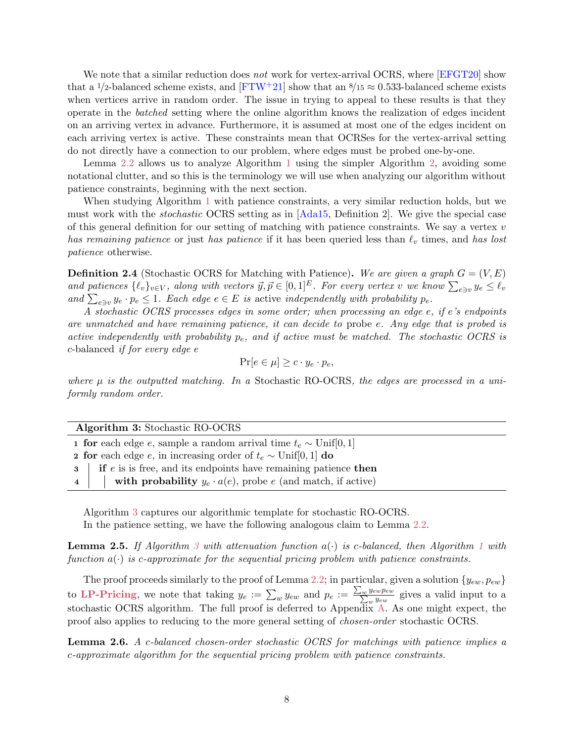<span id="page-8-3"></span>We note that a similar reduction does not work for vertex-arrival OCRS, where [\[EFGT20\]](#page-22-4) show that a 1/2-balanced scheme exists, and  $[FTW^+21]$  $[FTW^+21]$  show that an  $8/15 \approx 0.533$ -balanced scheme exists when vertices arrive in random order. The issue in trying to appeal to these results is that they operate in the batched setting where the online algorithm knows the realization of edges incident on an arriving vertex in advance. Furthermore, it is assumed at most one of the edges incident on each arriving vertex is active. These constraints mean that OCRSes for the vertex-arrival setting do not directly have a connection to our problem, where edges must be probed one-by-one.

Lemma [2.2](#page-7-1) allows us to analyze Algorithm [1](#page-6-5) using the simpler Algorithm [2,](#page-7-0) avoiding some notational clutter, and so this is the terminology we will use when analyzing our algorithm without patience constraints, beginning with the next section.

When studying Algorithm [1](#page-6-5) with patience constraints, a very similar reduction holds, but we must work with the stochastic OCRS setting as in [\[Ada15,](#page-21-12) Definition 2]. We give the special case of this general definition for our setting of matching with patience constraints. We say a vertex  $v$ has remaining patience or just has patience if it has been queried less than  $\ell_v$  times, and has lost patience otherwise.

<span id="page-8-2"></span>**Definition 2.4** (Stochastic OCRS for Matching with Patience). We are given a graph  $G = (V, E)$ and patiences  $\{\ell_v\}_{v\in V}$ , along with vectors  $\vec{y}, \vec{p} \in [0, 1]^E$ . For every vertex v we know  $\sum_{e \ni v} y_e \leq \ell_v$ and  $\sum_{e \ni v} y_e \cdot p_e \leq 1$ . Each edge  $e \in E$  is active independently with probability  $p_e$ .

A stochastic OCRS processes edges in some order; when processing an edge e, if e's endpoints are unmatched and have remaining patience, it can decide to probe e. Any edge that is probed is active independently with probability  $p_e$ , and if active must be matched. The stochastic OCRS is c-balanced if for every edge e

$$
\Pr[e \in \mu] \ge c \cdot y_e \cdot p_e,
$$

where  $\mu$  is the outputted matching. In a Stochastic RO-OCRS, the edges are processed in a uniformly random order.

#### Algorithm 3: Stochastic RO-OCRS

| <b>1 for</b> each edge e, sample a random arrival time $t_e \sim \text{Unif}[0, 1]$ |
|-------------------------------------------------------------------------------------|
| <b>2 for</b> each edge e, in increasing order of $t_e \sim \text{Unif}[0, 1]$ do    |
| $\mathbf{3}$ if e is is free, and its endpoints have remaining patience then        |
| 4     with probability $y_e \cdot a(e)$ , probe e (and match, if active)            |

<span id="page-8-0"></span>Algorithm [3](#page-8-0) captures our algorithmic template for stochastic RO-OCRS. In the patience setting, we have the following analogous claim to Lemma [2.2.](#page-7-1)

<span id="page-8-1"></span>**Lemma 2.5.** If Algorithm [3](#page-8-0) with attenuation function  $a(\cdot)$  is c-balanced, then Algorithm [1](#page-6-5) with function  $a(\cdot)$  is c-approximate for the sequential pricing problem with patience constraints.

The proof proceeds similarly to the proof of Lemma [2.2;](#page-7-1) in particular, given a solution  $\{y_{ew}, p_{ew}\}$ to [LP-Pricing](#page-6-0), we note that taking  $y_e := \sum_w y_{ew}$  and  $p_e := \frac{\sum_w y_{ew} p_{ew}}{\sum_w y_{ew}}$  gives a valid input to a stochastic OCRS algorithm. The full proof is deferred to Appendix [A.](#page-24-0) As one might expect, the proof also applies to reducing to the more general setting of chosen-order stochastic OCRS.

Lemma 2.6. A c-balanced chosen-order stochastic OCRS for matchings with patience implies a c-approximate algorithm for the sequential pricing problem with patience constraints.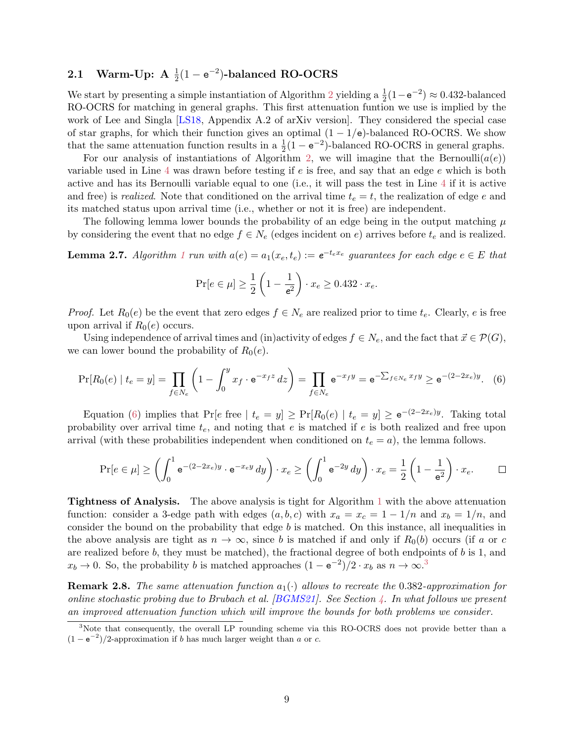# <span id="page-9-4"></span><span id="page-9-3"></span>2.1 Warm-Up: A  $\frac{1}{2}(1-e^{-2})$ -balanced RO-OCRS

We start by presenting a simple instantiation of Algorithm [2](#page-7-0) yielding a  $\frac{1}{2}(1 - e^{-2}) \approx 0.432$ -balanced RO-OCRS for matching in general graphs. This first attenuation funtion we use is implied by the work of Lee and Singla [\[LS18,](#page-23-1) Appendix A.2 of arXiv version]. They considered the special case of star graphs, for which their function gives an optimal  $(1 - 1/e)$ -balanced RO-OCRS. We show that the same attenuation function results in a  $\frac{1}{2}(1 - e^{-2})$ -balanced RO-OCRS in general graphs.

For our analysis of instantiations of Algorithm [2,](#page-7-0) we will imagine that the Bernoulli $(a(e))$ variable used in Line [4](#page-7-2) was drawn before testing if  $e$  is free, and say that an edge  $e$  which is both active and has its Bernoulli variable equal to one (i.e., it will pass the test in Line [4](#page-7-2) if it is active and free) is *realized*. Note that conditioned on the arrival time  $t_e = t$ , the realization of edge e and its matched status upon arrival time (i.e., whether or not it is free) are independent.

The following lemma lower bounds the probability of an edge being in the output matching  $\mu$ by considering the event that no edge  $f \in N_e$  (edges incident on e) arrives before  $t_e$  and is realized.

<span id="page-9-2"></span>**Lemma 2.7.** Algorithm [1](#page-6-5) run with  $a(e) = a_1(x_e, t_e) := e^{-t_e x_e}$  guarantees for each edge  $e \in E$  that

$$
\Pr[e \in \mu] \ge \frac{1}{2} \left( 1 - \frac{1}{e^2} \right) \cdot x_e \ge 0.432 \cdot x_e.
$$

*Proof.* Let  $R_0(e)$  be the event that zero edges  $f \in N_e$  are realized prior to time  $t_e$ . Clearly, e is free upon arrival if  $R_0(e)$  occurs.

Using independence of arrival times and (in)activity of edges  $f \in N_e$ , and the fact that  $\vec{x} \in \mathcal{P}(G)$ , we can lower bound the probability of  $R_0(e)$ .

<span id="page-9-0"></span>
$$
\Pr[R_0(e) \mid t_e = y] = \prod_{f \in N_e} \left( 1 - \int_0^y x_f \cdot e^{-x_f z} \, dz \right) = \prod_{f \in N_e} e^{-x_f y} = e^{-\sum_{f \in N_e} x_f y} \ge e^{-(2-2x_e)y}.\tag{6}
$$

Equation [\(6\)](#page-9-0) implies that  $Pr[e \text{ free } | t_e = y] \geq Pr[R_0(e) | t_e = y] \geq e^{-(2-2x_e)y}$ . Taking total probability over arrival time  $t_e$ , and noting that  $e$  is matched if  $e$  is both realized and free upon arrival (with these probabilities independent when conditioned on  $t<sub>e</sub> = a$ ), the lemma follows.

$$
\Pr[e \in \mu] \ge \left(\int_0^1 e^{-(2-2x_e)y} \cdot e^{-x_e y} dy\right) \cdot x_e \ge \left(\int_0^1 e^{-2y} dy\right) \cdot x_e = \frac{1}{2} \left(1 - \frac{1}{e^2}\right) \cdot x_e. \qquad \Box
$$

Tightness of Analysis. The above analysis is tight for Algorithm [1](#page-6-5) with the above attenuation function: consider a 3-edge path with edges  $(a, b, c)$  with  $x_a = x_c = 1 - 1/n$  and  $x_b = 1/n$ , and consider the bound on the probability that edge b is matched. On this instance, all inequalities in the above analysis are tight as  $n \to \infty$ , since b is matched if and only if  $R_0(b)$  occurs (if a or c are realized before  $b$ , they must be matched), the fractional degree of both endpoints of  $b$  is 1, and  $x_b \to 0$ . So, the probability b is matched approaches  $(1 - e^{-2})/2 \cdot x_b$  as  $n \to \infty$ .<sup>[3](#page-9-1)</sup>

**Remark 2.8.** The same attenuation function  $a_1(\cdot)$  allows to recreate the 0.382-approximation for online stochastic probing due to Brubach et al.  $[BGMS21]$ . See Section [4.](#page-15-0) In what follows we present an improved attenuation function which will improve the bounds for both problems we consider.

<span id="page-9-1"></span><sup>&</sup>lt;sup>3</sup>Note that consequently, the overall LP rounding scheme via this RO-OCRS does not provide better than a  $(1 - e^{-2})/2$ -approximation if b has much larger weight than a or c.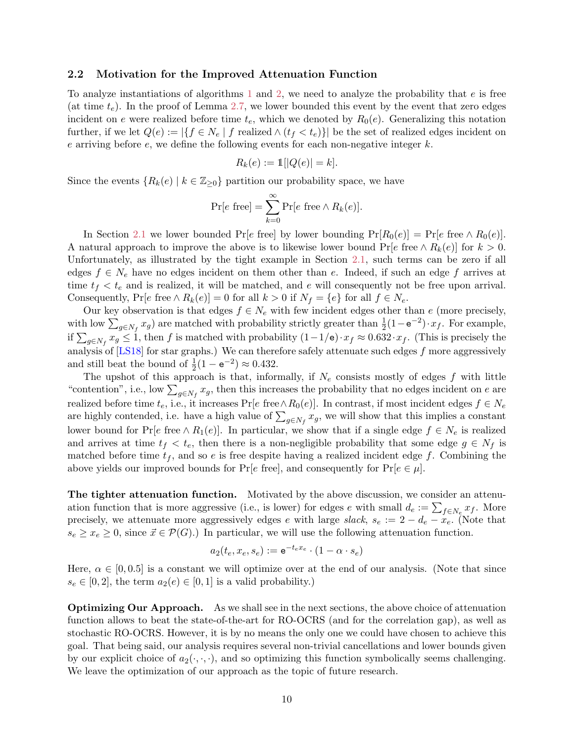#### <span id="page-10-0"></span>2.2 Motivation for the Improved Attenuation Function

To analyze instantiations of algorithms [1](#page-6-5) and [2,](#page-7-0) we need to analyze the probability that  $e$  is free (at time  $t_e$ ). In the proof of Lemma [2.7,](#page-9-2) we lower bounded this event by the event that zero edges incident on e were realized before time  $t_e$ , which we denoted by  $R_0(e)$ . Generalizing this notation further, if we let  $Q(e) := |\{f \in N_e \mid f \text{ realized} \land (t_f < t_e)\}|$  be the set of realized edges incident on e arriving before e, we define the following events for each non-negative integer  $k$ .

$$
R_k(e) := \mathbb{1}[|Q(e)| = k].
$$

Since the events  ${R_k(e) | k \in \mathbb{Z}_{\geq 0}}$  partition our probability space, we have

$$
\Pr[e \text{ free}] = \sum_{k=0}^{\infty} \Pr[e \text{ free} \wedge R_k(e)].
$$

In Section [2.1](#page-9-3) we lower bounded Pr[e free] by lower bounding  $Pr[R_0(e)] = Pr[e$  free  $\wedge R_0(e)]$ . A natural approach to improve the above is to likewise lower bound  $Pr[e]$  free  $\wedge R_k(e)]$  for  $k > 0$ . Unfortunately, as illustrated by the tight example in Section [2.1,](#page-9-3) such terms can be zero if all edges  $f \in N_e$  have no edges incident on them other than e. Indeed, if such an edge f arrives at time  $t_f < t_e$  and is realized, it will be matched, and e will consequently not be free upon arrival. Consequently, Pr[e free  $\wedge R_k(e) = 0$  for all  $k > 0$  if  $N_f = \{e\}$  for all  $f \in N_e$ .

Our key observation is that edges  $f \in N_e$  with few incident edges other than e (more precisely, with low  $\sum_{g \in N_f} x_g$  are matched with probability strictly greater than  $\frac{1}{2}(1 - e^{-2}) \cdot x_f$ . For example, if  $\sum_{g\in N_f} x_g \leq 1$ , then f is matched with probability  $(1-1/e)\cdot x_f \approx 0.632\cdot x_f$ . (This is precisely the analysis of  $[LS18]$  for star graphs.) We can therefore safely attenuate such edges  $f$  more aggressively and still beat the bound of  $\frac{1}{2}(1 - e^{-2}) \approx 0.432$ .

The upshot of this approach is that, informally, if  $N_e$  consists mostly of edges f with little "contention", i.e., low  $\sum_{g \in N_f} x_g$ , then this increases the probability that no edges incident on e are realized before time  $t_e$ , i.e., it increases Pr[ $e$  free  $\land R_0(e)$ ]. In contrast, if most incident edges  $f \in N_e$ are highly contended, i.e. have a high value of  $\sum_{g \in N_f} x_g$ , we will show that this implies a constant lower bound for Pr[e free  $\land R_1(e)$ ]. In particular, we show that if a single edge  $f \in N_e$  is realized and arrives at time  $t_f < t_e$ , then there is a non-negligible probability that some edge  $g \in N_f$  is matched before time  $t_f$ , and so e is free despite having a realized incident edge f. Combining the above yields our improved bounds for  $Pr[e$  free], and consequently for  $Pr[e \in \mu]$ .

The tighter attenuation function. Motivated by the above discussion, we consider an attenuation function that is more aggressive (i.e., is lower) for edges e with small  $d_e := \sum_{f \in N_e} x_f$ . More precisely, we attenuate more aggressively edges e with large slack,  $s_e := 2 - d_e - x_e$ . (Note that  $s_e \geq x_e \geq 0$ , since  $\vec{x} \in \mathcal{P}(G)$ .) In particular, we will use the following attenuation function.

$$
a_2(t_e, x_e, s_e) := \mathrm{e}^{-t_e x_e} \cdot (1 - \alpha \cdot s_e)
$$

Here,  $\alpha \in [0, 0.5]$  is a constant we will optimize over at the end of our analysis. (Note that since  $s_e \in [0, 2]$ , the term  $a_2(e) \in [0, 1]$  is a valid probability.)

Optimizing Our Approach. As we shall see in the next sections, the above choice of attenuation function allows to beat the state-of-the-art for RO-OCRS (and for the correlation gap), as well as stochastic RO-OCRS. However, it is by no means the only one we could have chosen to achieve this goal. That being said, our analysis requires several non-trivial cancellations and lower bounds given by our explicit choice of  $a_2(\cdot, \cdot, \cdot)$ , and so optimizing this function symbolically seems challenging. We leave the optimization of our approach as the topic of future research.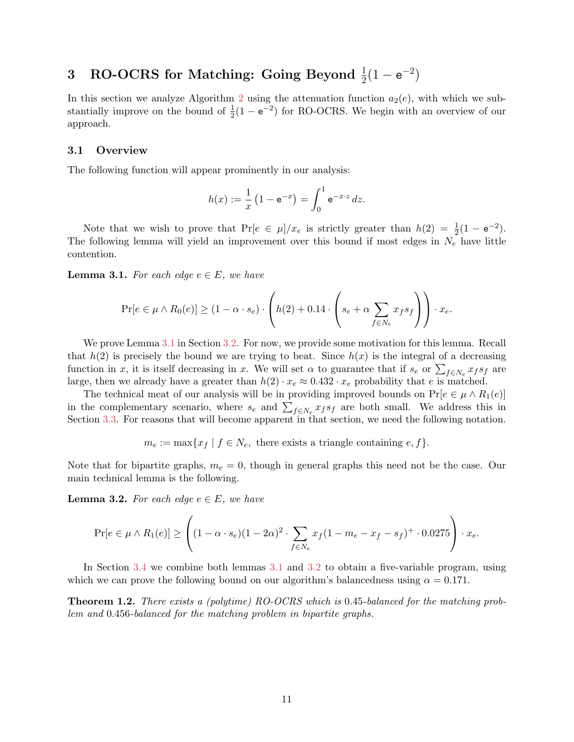# <span id="page-11-2"></span>3 RO-OCRS for Matching: Going Beyond  $\frac{1}{2}(1-e^{-2})$

In this section we analyze Algorithm [2](#page-7-0) using the attenuation function  $a_2(e)$ , with which we substantially improve on the bound of  $\frac{1}{2}(1 - e^{-2})$  for RO-OCRS. We begin with an overview of our approach.

#### 3.1 Overview

The following function will appear prominently in our analysis:

$$
h(x) := \frac{1}{x} \left( 1 - e^{-x} \right) = \int_0^1 e^{-x \cdot z} \, dz.
$$

Note that we wish to prove that  $Pr[e \in \mu]/x_e$  is strictly greater than  $h(2) = \frac{1}{2}(1 - e^{-2})$ . The following lemma will yield an improvement over this bound if most edges in  $N_e$  have little contention.

<span id="page-11-0"></span>**Lemma 3.1.** For each edge  $e \in E$ , we have

$$
\Pr[e \in \mu \wedge R_0(e)] \ge (1 - \alpha \cdot s_e) \cdot \left( h(2) + 0.14 \cdot \left( s_e + \alpha \sum_{f \in N_e} x_f s_f \right) \right) \cdot x_e.
$$

We prove Lemma [3.1](#page-11-0) in Section [3.2.](#page-12-0) For now, we provide some motivation for this lemma. Recall that  $h(2)$  is precisely the bound we are trying to beat. Since  $h(x)$  is the integral of a decreasing function in x, it is itself decreasing in x. We will set  $\alpha$  to guarantee that if  $s_e$  or  $\sum_{f \in N_e} x_f s_f$  are large, then we already have a greater than  $h(2) \cdot x_e \approx 0.432 \cdot x_e$  probability that e is matched.

The technical meat of our analysis will be in providing improved bounds on  $Pr[e \in \mu \wedge R_1(e)]$ in the complementary scenario, where  $s_e$  and  $\sum_{f \in N_e} x_f s_f$  are both small. We address this in Section [3.3.](#page-12-1) For reasons that will become apparent in that section, we need the following notation.

 $m_e := \max\{x_f \mid f \in N_e, \text{ there exists a triangle containing } e, f\}.$ 

Note that for bipartite graphs,  $m_e = 0$ , though in general graphs this need not be the case. Our main technical lemma is the following.

<span id="page-11-1"></span>**Lemma 3.2.** For each edge  $e \in E$ , we have

$$
\Pr[e \in \mu \wedge R_1(e)] \ge \left( (1 - \alpha \cdot s_e)(1 - 2\alpha)^2 \cdot \sum_{f \in N_e} x_f (1 - m_e - x_f - s_f)^+ \cdot 0.0275 \right) \cdot x_e.
$$

In Section [3.4](#page-14-0) we combine both lemmas [3.1](#page-11-0) and [3.2](#page-11-1) to obtain a five-variable program, using which we can prove the following bound on our algorithm's balancedness using  $\alpha = 0.171$ .

Theorem 1.2. There exists a (polytime) RO-OCRS which is 0.45-balanced for the matching problem and 0.456-balanced for the matching problem in bipartite graphs.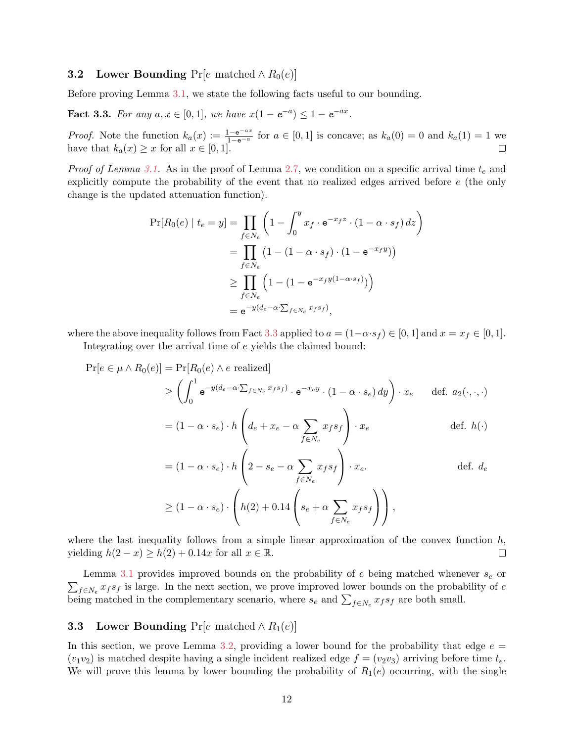#### <span id="page-12-0"></span>**3.2** Lower Bounding Pr[e matched  $\land R_0(e)$ ]

<span id="page-12-2"></span>Before proving Lemma [3.1,](#page-11-0) we state the following facts useful to our bounding.

**Fact 3.3.** For any  $a, x \in [0, 1]$ , we have  $x(1 - e^{-a}) \leq 1 - e^{-ax}$ .

*Proof.* Note the function  $k_a(x) := \frac{1-e^{-ax}}{1-e^{-a}}$  for  $a \in [0,1]$  is concave; as  $k_a(0) = 0$  and  $k_a(1) = 1$  we have that  $k_a(x) \geq x$  for all  $x \in [0,1]$ .

*Proof of Lemma [3.1.](#page-11-0)* As in the proof of Lemma [2.7,](#page-9-2) we condition on a specific arrival time  $t_e$  and explicitly compute the probability of the event that no realized edges arrived before e (the only change is the updated attenuation function).

$$
\Pr[R_0(e) \mid t_e = y] = \prod_{f \in N_e} \left( 1 - \int_0^y x_f \cdot e^{-x_f z} \cdot (1 - \alpha \cdot s_f) dz \right)
$$
  
= 
$$
\prod_{f \in N_e} \left( 1 - (1 - \alpha \cdot s_f) \cdot (1 - e^{-x_f y}) \right)
$$
  

$$
\geq \prod_{f \in N_e} \left( 1 - (1 - e^{-x_f y (1 - \alpha \cdot s_f)}) \right)
$$
  
= 
$$
e^{-y (d_e - \alpha \cdot \sum_{f \in N_e} x_f s_f)},
$$

where the above inequality follows from Fact [3.3](#page-12-2) applied to  $a = (1-\alpha \cdot s_f) \in [0,1]$  and  $x = x_f \in [0,1]$ .

Integrating over the arrival time of e yields the claimed bound:

$$
\Pr[e \in \mu \land R_0(e)] = \Pr[R_0(e) \land e \text{ realized}]
$$
  
\n
$$
\geq \left( \int_0^1 e^{-y(d_e - \alpha \cdot \sum_{f \in N_e} x_f s_f)} \cdot e^{-x_e y} \cdot (1 - \alpha \cdot s_e) dy \right) \cdot x_e \quad \text{def. } a_2(\cdot, \cdot, \cdot)
$$
  
\n
$$
= (1 - \alpha \cdot s_e) \cdot h \left( d_e + x_e - \alpha \sum_{f \in N_e} x_f s_f \right) \cdot x_e \quad \text{def. } h(\cdot)
$$
  
\n
$$
= (1 - \alpha \cdot s_e) \cdot h \left( 2 - s_e - \alpha \sum_{f \in N_e} x_f s_f \right) \cdot x_e. \quad \text{def. } d_e
$$
  
\n
$$
\geq (1 - \alpha \cdot s_e) \cdot \left( h(2) + 0.14 \left( s_e + \alpha \sum_{f \in N_e} x_f s_f \right) \right),
$$

where the last inequality follows from a simple linear approximation of the convex function  $h$ , yielding  $h(2-x) \ge h(2) + 0.14x$  for all  $x \in \mathbb{R}$ .  $\Box$ 

 $\sum_{f \in N_e} x_f s_f$  is large. In the next section, we prove improved lower bounds on the probability of e Lemma [3.1](#page-11-0) provides improved bounds on the probability of  $e$  being matched whenever  $s_e$  or being matched in the complementary scenario, where  $s_e$  and  $\sum_{f \in N_e} x_f s_f$  are both small.

#### <span id="page-12-1"></span>**3.3** Lower Bounding Pr[e matched  $\land R_1(e)$ ]

In this section, we prove Lemma [3.2,](#page-11-1) providing a lower bound for the probability that edge  $e =$  $(v_1v_2)$  is matched despite having a single incident realized edge  $f = (v_2v_3)$  arriving before time  $t_e$ . We will prove this lemma by lower bounding the probability of  $R_1(e)$  occurring, with the single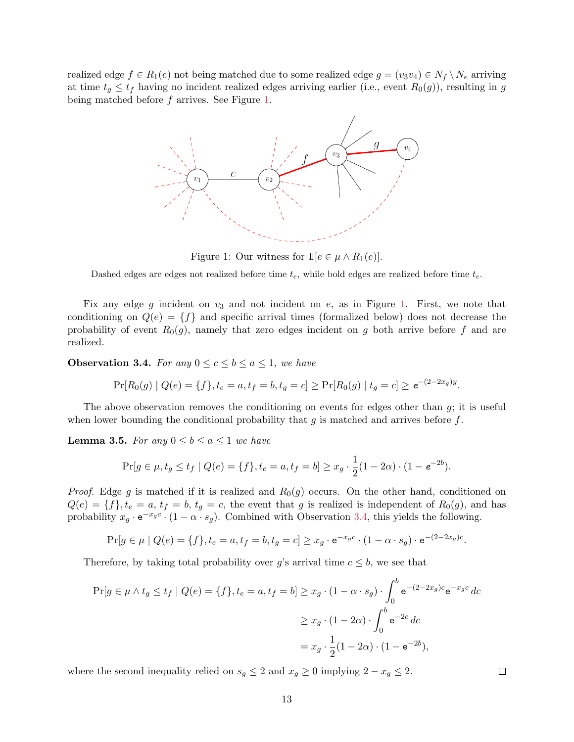<span id="page-13-0"></span>realized edge  $f \in R_1(e)$  not being matched due to some realized edge  $g = (v_3v_4) \in N_f \setminus N_e$  arriving at time  $t_q \leq t_f$  having no incident realized edges arriving earlier (i.e., event  $R_0(g)$ ), resulting in g being matched before f arrives. See Figure [1.](#page-13-0)



Figure 1: Our witness for  $\mathbb{1}[e \in \mu \wedge R_1(e)]$ .

Dashed edges are edges not realized before time  $t_e$ , while bold edges are realized before time  $t_e$ .

Fix any edge g incident on  $v_3$  and not incident on e, as in Figure [1.](#page-13-0) First, we note that conditioning on  $Q(e) = \{f\}$  and specific arrival times (formalized below) does not decrease the probability of event  $R_0(q)$ , namely that zero edges incident on g both arrive before f and are realized.

<span id="page-13-1"></span>**Observation 3.4.** For any  $0 \leq c \leq b \leq a \leq 1$ , we have

$$
\Pr[R_0(g) | Q(e) = \{f\}, t_e = a, t_f = b, t_g = c] \ge \Pr[R_0(g) | t_g = c] \ge e^{-(2-2x_g)y}.
$$

The above observation removes the conditioning on events for edges other than  $q$ ; it is useful when lower bounding the conditional probability that  $q$  is matched and arrives before  $f$ .

<span id="page-13-2"></span>**Lemma 3.5.** For any  $0 \leq b \leq a \leq 1$  we have

$$
\Pr[g \in \mu, t_g \le t_f \mid Q(e) = \{f\}, t_e = a, t_f = b] \ge x_g \cdot \frac{1}{2}(1 - 2\alpha) \cdot (1 - e^{-2b}).
$$

*Proof.* Edge g is matched if it is realized and  $R_0(g)$  occurs. On the other hand, conditioned on  $Q(e) = \{f\}, t_e = a, t_f = b, t_g = c$ , the event that g is realized is independent of  $R_0(g)$ , and has probability  $x_g \cdot e^{-x_g c} \cdot (1 - \alpha \cdot s_g)$ . Combined with Observation [3.4,](#page-13-1) this yields the following.

$$
\Pr[g \in \mu \mid Q(e) = \{f\}, t_e = a, t_f = b, t_g = c] \ge x_g \cdot e^{-x_g c} \cdot (1 - \alpha \cdot s_g) \cdot e^{-(2 - 2x_g)c}.
$$

Therefore, by taking total probability over g's arrival time  $c \leq b$ , we see that

$$
\Pr[g \in \mu \wedge t_g \le t_f \mid Q(e) = \{f\}, t_e = a, t_f = b] \ge x_g \cdot (1 - \alpha \cdot s_g) \cdot \int_0^b e^{-(2-2x_g)c} e^{-x_g c} dc
$$

$$
\ge x_g \cdot (1 - 2\alpha) \cdot \int_0^b e^{-2c} dc
$$

$$
= x_g \cdot \frac{1}{2}(1 - 2\alpha) \cdot (1 - e^{-2b}),
$$

13

where the second inequality relied on  $s_g \leq 2$  and  $x_g \geq 0$  implying  $2 - x_g \leq 2$ .

 $\Box$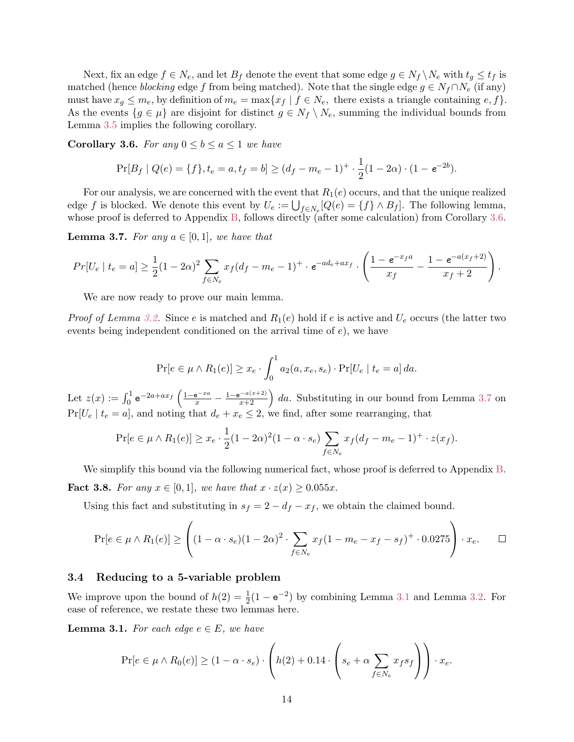Next, fix an edge  $f \in N_e$ , and let  $B_f$  denote the event that some edge  $g \in N_f \setminus N_e$  with  $t_g \leq t_f$  is matched (hence *blocking* edge f from being matched). Note that the single edge  $g \in N_f \cap N_e$  (if any) must have  $x_g \leq m_e$ , by definition of  $m_e = \max\{x_f \mid f \in N_e$ , there exists a triangle containing  $e, f\}$ . As the events  $\{g \in \mu\}$  are disjoint for distinct  $g \in N_f \setminus N_e$ , summing the individual bounds from Lemma [3.5](#page-13-2) implies the following corollary.

<span id="page-14-1"></span>**Corollary 3.6.** For any  $0 \leq b \leq a \leq 1$  we have

$$
\Pr[B_f \mid Q(e) = \{f\}, t_e = a, t_f = b] \ge (d_f - m_e - 1)^+ \cdot \frac{1}{2}(1 - 2\alpha) \cdot (1 - e^{-2b}).
$$

For our analysis, we are concerned with the event that  $R_1(e)$  occurs, and that the unique realized edge f is blocked. We denote this event by  $U_e := \bigcup_{f \in N_e} [Q(e) = \{f\} \wedge B_f]$ . The following lemma, whose proof is deferred to Appendix [B,](#page-24-1) follows directly (after some calculation) from Corollary [3.6.](#page-14-1)

<span id="page-14-2"></span>**Lemma 3.7.** For any  $a \in [0,1]$ , we have that

$$
Pr[U_e \mid t_e = a] \ge \frac{1}{2}(1 - 2\alpha)^2 \sum_{f \in N_e} x_f (d_f - m_e - 1)^+ \cdot e^{-ad_e + ax_f} \cdot \left(\frac{1 - e^{-x_f a}}{x_f} - \frac{1 - e^{-a(x_f + 2)}}{x_f + 2}\right).
$$

We are now ready to prove our main lemma.

*Proof of Lemma [3.2.](#page-11-1)* Since e is matched and  $R_1(e)$  hold if e is active and  $U_e$  occurs (the latter two events being independent conditioned on the arrival time of  $e$ ), we have

$$
\Pr[e \in \mu \wedge R_1(e)] \ge x_e \cdot \int_0^1 a_2(a, x_e, s_e) \cdot \Pr[U_e \mid t_e = a] \, da.
$$

Let  $z(x) := \int_0^1 e^{-2a+ax_f} \left( \frac{1-e^{-xa}}{x} - \frac{1-e^{-a(x+2)}}{x+2} \right) da$ . Substituting in our bound from Lemma [3.7](#page-14-2) on  $Pr[U_e | t_e = a]$ , and noting that  $d_e + x_e \leq 2$ , we find, after some rearranging, that

$$
\Pr[e \in \mu \wedge R_1(e)] \ge x_e \cdot \frac{1}{2}(1 - 2\alpha)^2 (1 - \alpha \cdot s_e) \sum_{f \in N_e} x_f (d_f - m_e - 1)^+ \cdot z(x_f).
$$

We simplify this bound via the following numerical fact, whose proof is deferred to Appendix [B.](#page-24-1) **Fact 3.8.** For any  $x \in [0, 1]$ , we have that  $x \cdot z(x) \geq 0.055x$ .

Using this fact and substituting in  $s_f = 2 - d_f - x_f$ , we obtain the claimed bound.

$$
\Pr[e \in \mu \wedge R_1(e)] \ge \left( (1 - \alpha \cdot s_e)(1 - 2\alpha)^2 \cdot \sum_{f \in N_e} x_f (1 - m_e - x_f - s_f)^+ \cdot 0.0275 \right) \cdot x_e. \quad \Box
$$

#### <span id="page-14-0"></span>3.4 Reducing to a 5-variable problem

We improve upon the bound of  $h(2) = \frac{1}{2}(1 - e^{-2})$  by combining Lemma [3.1](#page-11-0) and Lemma [3.2.](#page-11-1) For ease of reference, we restate these two lemmas here.

**Lemma 3.1.** For each edge  $e \in E$ , we have

$$
\Pr[e \in \mu \wedge R_0(e)] \ge (1 - \alpha \cdot s_e) \cdot \left( h(2) + 0.14 \cdot \left( s_e + \alpha \sum_{f \in N_e} x_f s_f \right) \right) \cdot x_e.
$$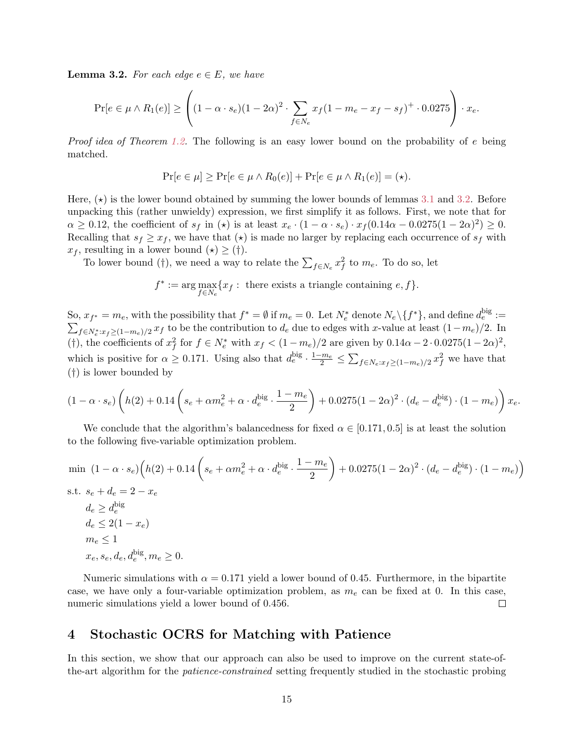**Lemma 3.2.** For each edge  $e \in E$ , we have

$$
\Pr[e \in \mu \wedge R_1(e)] \ge \left( (1 - \alpha \cdot s_e)(1 - 2\alpha)^2 \cdot \sum_{f \in N_e} x_f (1 - m_e - x_f - s_f)^+ \cdot 0.0275 \right) \cdot x_e.
$$

*Proof idea of Theorem [1.2.](#page-3-1)* The following is an easy lower bound on the probability of  $e$  being matched.

$$
\Pr[e \in \mu] \ge \Pr[e \in \mu \wedge R_0(e)] + \Pr[e \in \mu \wedge R_1(e)] = (\star).
$$

Here,  $(\star)$  is the lower bound obtained by summing the lower bounds of lemmas [3.1](#page-11-0) and [3.2.](#page-11-1) Before unpacking this (rather unwieldy) expression, we first simplify it as follows. First, we note that for  $\alpha \geq 0.12$ , the coefficient of  $s_f$  in ( $\star$ ) is at least  $x_e \cdot (1 - \alpha \cdot s_e) \cdot x_f (0.14\alpha - 0.0275(1 - 2\alpha)^2) \geq 0$ . Recalling that  $s_f \geq x_f$ , we have that  $(\star)$  is made no larger by replacing each occurrence of  $s_f$  with  $x_f$ , resulting in a lower bound  $(\star) \geq (\dagger)$ .

To lower bound (†), we need a way to relate the  $\sum_{f \in N_e} x_f^2$  to  $m_e$ . To do so, let

$$
f^* := \arg \max_{f \in N_e} \{ x_f : \text{ there exists a triangle containing } e, f \}.
$$

So,  $x_{f^*} = m_e$ , with the possibility that  $f^* = \emptyset$  if  $m_e = 0$ . Let  $N_e^*$  denote  $N_e \setminus \{f^*\}$ , and define  $d_e^{\text{big}}$ So,  $x_{f^*} = m_e$ , with the possibility that  $f^* = \emptyset$  if  $m_e = 0$ . Let  $N_e^*$  denote  $N_e \setminus \{f^*\}$ , and define  $d_e^{\text{eng}} := \sum_{f \in N_e^* : x_f \ge (1-m_e)/2} x_f$  to be the contribution to  $d_e$  due to edges with x-value at least  $(1-m_e)/2$ . (†), the coefficients of  $x_f^2$  for  $f \in N_e^*$  with  $x_f < (1 - m_e)/2$  are given by  $0.14\alpha - 2 \cdot 0.0275(1 - 2\alpha)^2$ , which is positive for  $\alpha \geq 0.171$ . Using also that  $d_e^{\text{big}} \cdot \frac{1-m_e}{2} \leq \sum_{f \in N_e: x_f \geq (1-m_e)/2} x_f^2$  we have that (†) is lower bounded by

$$
(1 - \alpha \cdot s_e) \left( h(2) + 0.14 \left( s_e + \alpha m_e^2 + \alpha \cdot d_e^{\text{big}} \cdot \frac{1 - m_e}{2} \right) + 0.0275 (1 - 2\alpha)^2 \cdot (d_e - d_e^{\text{big}}) \cdot (1 - m_e) \right) x_e.
$$

We conclude that the algorithm's balancedness for fixed  $\alpha \in [0.171, 0.5]$  is at least the solution to the following five-variable optimization problem.

$$
\begin{aligned}\n\min (1 - \alpha \cdot s_e) \Big( h(2) + 0.14 \left( s_e + \alpha m_e^2 + \alpha \cdot d_e^{\text{big}} \cdot \frac{1 - m_e}{2} \right) + 0.0275 (1 - 2\alpha)^2 \cdot (d_e - d_e^{\text{big}}) \cdot (1 - m_e) \Big) \\
\text{s.t. } s_e + d_e = 2 - x_e \\
d_e \ge d_e^{\text{big}} \\
d_e \le 2(1 - x_e) \\
m_e \le 1 \\
x_e, s_e, d_e, d_e^{\text{big}}, m_e \ge 0.\n\end{aligned}
$$

Numeric simulations with  $\alpha = 0.171$  yield a lower bound of 0.45. Furthermore, in the bipartite case, we have only a four-variable optimization problem, as  $m_e$  can be fixed at 0. In this case, numeric simulations yield a lower bound of 0.456.  $\Box$ 

## <span id="page-15-0"></span>4 Stochastic OCRS for Matching with Patience

In this section, we show that our approach can also be used to improve on the current state-ofthe-art algorithm for the patience-constrained setting frequently studied in the stochastic probing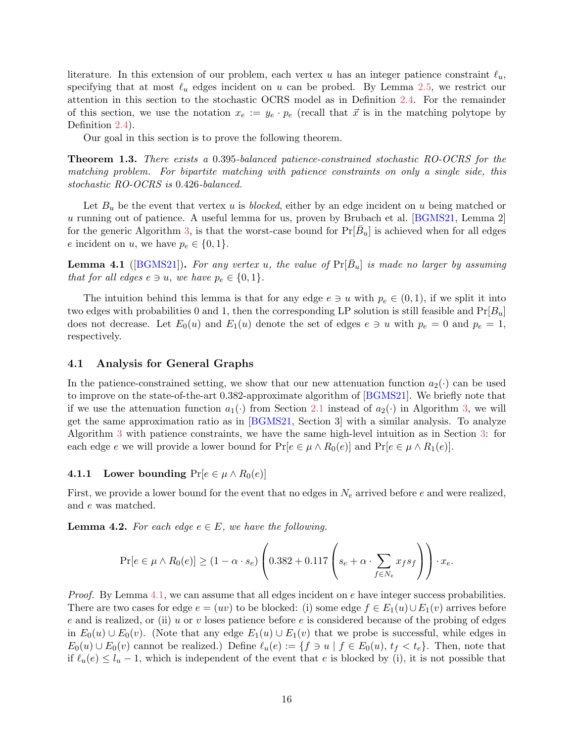<span id="page-16-2"></span>literature. In this extension of our problem, each vertex u has an integer patience constraint  $\ell_u$ , specifying that at most  $\ell_u$  edges incident on u can be probed. By Lemma [2.5,](#page-8-1) we restrict our attention in this section to the stochastic OCRS model as in Definition [2.4.](#page-8-2) For the remainder of this section, we use the notation  $x_e := y_e \cdot p_e$  (recall that  $\vec{x}$  is in the matching polytope by Definition [2.4\)](#page-8-2).

Our goal in this section is to prove the following theorem.

Theorem 1.3. There exists a 0.395-balanced patience-constrained stochastic RO-OCRS for the matching problem. For bipartite matching with patience constraints on only a single side, this stochastic RO-OCRS is 0.426-balanced.

Let  $B_u$  be the event that vertex u is *blocked*, either by an edge incident on u being matched or u running out of patience. A useful lemma for us, proven by Brubach et al. [\[BGMS21,](#page-21-0) Lemma 2] for the generic Algorithm [3,](#page-8-0) is that the worst-case bound for  $Pr[\bar{B}_u]$  is achieved when for all edges e incident on u, we have  $p_e \in \{0, 1\}.$ 

<span id="page-16-0"></span>**Lemma 4.1** ([\[BGMS21\]](#page-21-0)). For any vertex u, the value of  $Pr[\bar{B}_u]$  is made no larger by assuming that for all edges  $e \ni u$ , we have  $p_e \in \{0, 1\}$ .

The intuition behind this lemma is that for any edge  $e \ni u$  with  $p_e \in (0,1)$ , if we split it into two edges with probabilities 0 and 1, then the corresponding LP solution is still feasible and  $Pr[B_u]$ does not decrease. Let  $E_0(u)$  and  $E_1(u)$  denote the set of edges  $e \ni u$  with  $p_e = 0$  and  $p_e = 1$ , respectively.

#### 4.1 Analysis for General Graphs

In the patience-constrained setting, we show that our new attenuation function  $a_2(\cdot)$  can be used to improve on the state-of-the-art 0.382-approximate algorithm of [\[BGMS21\]](#page-21-0). We briefly note that if we use the attenuation function  $a_1(\cdot)$  from Section [2.1](#page-9-3) instead of  $a_2(\cdot)$  in Algorithm [3,](#page-8-0) we will get the same approximation ratio as in [\[BGMS21,](#page-21-0) Section 3] with a similar analysis. To analyze Algorithm [3](#page-8-0) with patience constraints, we have the same high-level intuition as in Section [3:](#page-11-2) for each edge e we will provide a lower bound for  $Pr[e \in \mu \wedge R_0(e)]$  and  $Pr[e \in \mu \wedge R_1(e)]$ .

#### 4.1.1 Lower bounding  $Pr[e \in \mu \wedge R_0(e)]$

First, we provide a lower bound for the event that no edges in  $N_e$  arrived before e and were realized, and e was matched.

<span id="page-16-1"></span>**Lemma 4.2.** For each edge  $e \in E$ , we have the following.

$$
\Pr[e \in \mu \wedge R_0(e)] \ge (1 - \alpha \cdot s_e) \left( 0.382 + 0.117 \left( s_e + \alpha \cdot \sum_{f \in N_e} x_f s_f \right) \right) \cdot x_e.
$$

*Proof.* By Lemma [4.1,](#page-16-0) we can assume that all edges incident on  $e$  have integer success probabilities. There are two cases for edge  $e = (uv)$  to be blocked: (i) some edge  $f \in E_1(u) \cup E_1(v)$  arrives before e and is realized, or (ii) u or v loses patience before e is considered because of the probing of edges in  $E_0(u) \cup E_0(v)$ . (Note that any edge  $E_1(u) \cup E_1(v)$  that we probe is successful, while edges in  $E_0(u) \cup E_0(v)$  cannot be realized.) Define  $\ell_u(e) := \{f \ni u \mid f \in E_0(u), t_f < t_e\}$ . Then, note that if  $\ell_u(e) \leq l_u - 1$ , which is independent of the event that e is blocked by (i), it is not possible that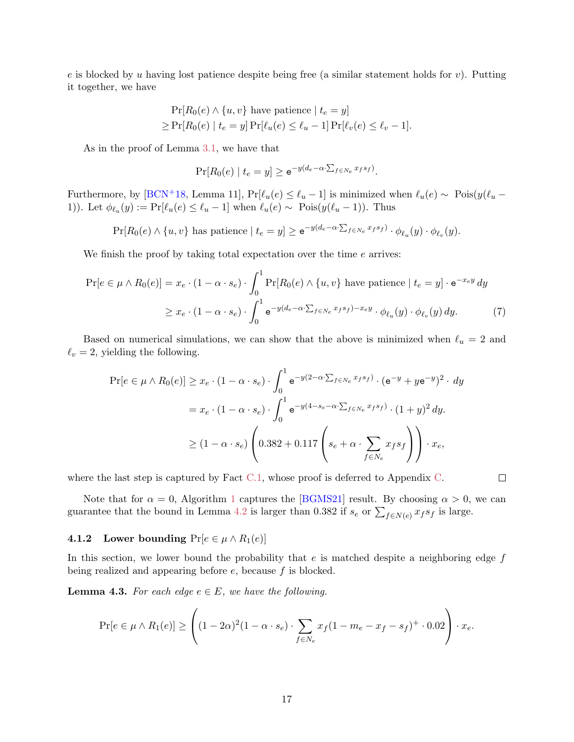<span id="page-17-1"></span>e is blocked by u having lost patience despite being free (a similar statement holds for  $v$ ). Putting it together, we have

$$
\Pr[R_0(e) \land \{u, v\} \text{ have patience } | t_e = y]
$$
  
\n
$$
\geq \Pr[R_0(e) | t_e = y] \Pr[\ell_u(e) \leq \ell_u - 1] \Pr[\ell_v(e) \leq \ell_v - 1].
$$

As in the proof of Lemma [3.1,](#page-11-0) we have that

$$
\Pr[R_0(e) | t_e = y] \ge \mathrm{e}^{-y(d_e - \alpha \cdot \sum_{f \in N_e} x_f s_f)}.
$$

Furthermore, by [\[BCN](#page-21-7)<sup>+</sup>18, Lemma 11], Pr[ $\ell_u(e) \leq \ell_u - 1$ ] is minimized when  $\ell_u(e) \sim \text{Pois}(y(\ell_u -$ 1)). Let  $\phi_{\ell_u}(y) := \Pr[\ell_u(e) \leq \ell_u - 1]$  when  $\ell_u(e) \sim \text{Pois}(y(\ell_u - 1))$ . Thus

 $Pr[R_0(e) \wedge \{u, v\}]$  has patience  $|t_e = y| \ge e^{-y(d_e - \alpha \cdot \sum_{f \in N_e} x_f s_f)} \cdot \phi_{\ell_u}(y) \cdot \phi_{\ell_v}(y)$ .

We finish the proof by taking total expectation over the time  $e$  arrives:

$$
\Pr[e \in \mu \wedge R_0(e)] = x_e \cdot (1 - \alpha \cdot s_e) \cdot \int_0^1 \Pr[R_0(e) \wedge \{u, v\} \text{ have patience } | \ t_e = y] \cdot e^{-x_e y} dy
$$

$$
\geq x_e \cdot (1 - \alpha \cdot s_e) \cdot \int_0^1 e^{-y(d_e - \alpha \cdot \sum_{f \in N_e} x_f s_f) - x_e y} \cdot \phi_{\ell_u}(y) \cdot \phi_{\ell_v}(y) dy. \tag{7}
$$

Based on numerical simulations, we can show that the above is minimized when  $\ell_u = 2$  and  $\ell_v = 2$ , yielding the following.

$$
\Pr[e \in \mu \wedge R_0(e)] \ge x_e \cdot (1 - \alpha \cdot s_e) \cdot \int_0^1 e^{-y(2-\alpha \cdot \sum_{f \in N_e} x_f s_f)} \cdot (e^{-y} + ye^{-y})^2 \cdot dy
$$

$$
= x_e \cdot (1 - \alpha \cdot s_e) \cdot \int_0^1 e^{-y(4-s_e-\alpha \cdot \sum_{f \in N_e} x_f s_f)} \cdot (1+y)^2 dy.
$$

$$
\ge (1 - \alpha \cdot s_e) \left( 0.382 + 0.117 \left( s_e + \alpha \cdot \sum_{f \in N_e} x_f s_f \right) \right) \cdot x_e,
$$

where the last step is captured by Fact [C.1,](#page-26-0) whose proof is deferred to Appendix [C.](#page-26-1)

Note that for  $\alpha = 0$ , Algorithm [1](#page-6-5) captures the [\[BGMS21\]](#page-21-0) result. By choosing  $\alpha > 0$ , we can guarantee that the bound in Lemma [4.2](#page-16-1) is larger than 0.382 if  $s_e$  or  $\sum_{f \in N(e)} x_f s_f$  is large.

<span id="page-17-2"></span> $\Box$ 

# 4.1.2 Lower bounding  $Pr[e \in \mu \wedge R_1(e)]$

In this section, we lower bound the probability that  $e$  is matched despite a neighboring edge  $f$ being realized and appearing before  $e$ , because  $f$  is blocked.

<span id="page-17-0"></span>**Lemma 4.3.** For each edge  $e \in E$ , we have the following.

$$
\Pr[e \in \mu \wedge R_1(e)] \ge \left( (1 - 2\alpha)^2 (1 - \alpha \cdot s_e) \cdot \sum_{f \in N_e} x_f (1 - m_e - x_f - s_f)^+ \cdot 0.02 \right) \cdot x_e.
$$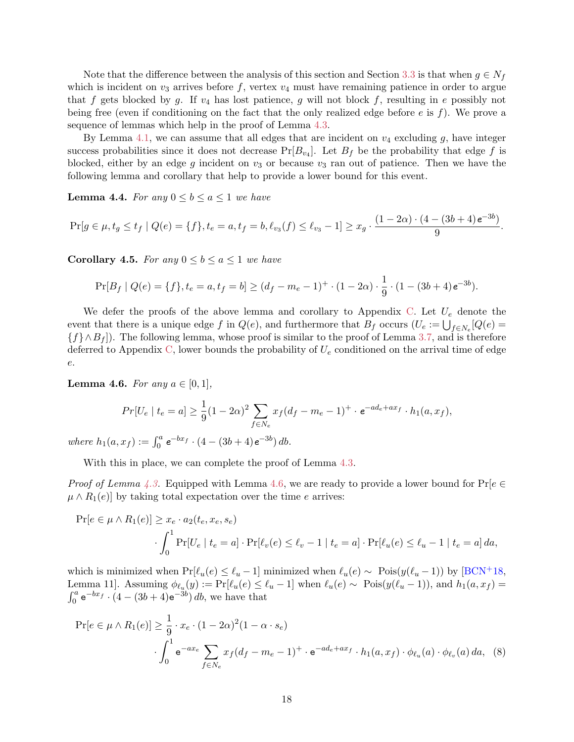<span id="page-18-1"></span>Note that the difference between the analysis of this section and Section [3.3](#page-12-1) is that when  $g \in N_f$ which is incident on  $v_3$  arrives before f, vertex  $v_4$  must have remaining patience in order to argue that f gets blocked by g. If  $v_4$  has lost patience, g will not block f, resulting in e possibly not being free (even if conditioning on the fact that the only realized edge before  $e$  is  $f$ ). We prove a sequence of lemmas which help in the proof of Lemma [4.3.](#page-17-0)

By Lemma [4.1,](#page-16-0) we can assume that all edges that are incident on  $v_4$  excluding g, have integer success probabilities since it does not decrease  $Pr[B_{v_4}]$ . Let  $B_f$  be the probability that edge f is blocked, either by an edge g incident on  $v_3$  or because  $v_3$  ran out of patience. Then we have the following lemma and corollary that help to provide a lower bound for this event.

<span id="page-18-2"></span>**Lemma 4.4.** For any  $0 \leq b \leq a \leq 1$  we have

$$
\Pr[g \in \mu, t_g \le t_f \mid Q(e) = \{f\}, t_e = a, t_f = b, \ell_{v_3}(f) \le \ell_{v_3} - 1] \ge x_g \cdot \frac{(1 - 2\alpha) \cdot (4 - (3b + 4)e^{-3b})}{9}.
$$

<span id="page-18-3"></span>**Corollary 4.5.** For any  $0 \leq b \leq a \leq 1$  we have

$$
\Pr[B_f \mid Q(e) = \{f\}, t_e = a, t_f = b] \ge (d_f - m_e - 1)^+ \cdot (1 - 2\alpha) \cdot \frac{1}{9} \cdot (1 - (3b + 4)e^{-3b}).
$$

We defer the proofs of the above lemma and corollary to Appendix [C.](#page-26-1) Let  $U_e$  denote the event that there is a unique edge f in  $Q(e)$ , and furthermore that  $B_f$  occurs  $(U_e := \bigcup_{f \in N_e} [Q(e) =$  ${f \wedge B_f }$ . The following lemma, whose proof is similar to the proof of Lemma [3.7,](#page-14-2) and is therefore deferred to Appendix [C,](#page-26-1) lower bounds the probability of  $U_e$  conditioned on the arrival time of edge e.

<span id="page-18-0"></span>**Lemma 4.6.** For any  $a \in [0, 1]$ ,

$$
Pr[U_e \mid t_e = a] \ge \frac{1}{9}(1 - 2\alpha)^2 \sum_{f \in N_e} x_f (d_f - m_e - 1)^+ \cdot e^{-ad_e + ax_f} \cdot h_1(a, x_f),
$$

where  $h_1(a, x_f) := \int_0^a e^{-bx_f} \cdot (4 - (3b + 4)e^{-3b}) \, db$ .

With this in place, we can complete the proof of Lemma [4.3.](#page-17-0)

*Proof of Lemma [4.3.](#page-17-0)* Equipped with Lemma [4.6,](#page-18-0) we are ready to provide a lower bound for  $\Pr[e \in \mathcal{E}]$  $\mu \wedge R_1(e)$  by taking total expectation over the time e arrives:

$$
\Pr[e \in \mu \wedge R_1(e)] \ge x_e \cdot a_2(t_e, x_e, s_e)
$$

$$
\cdot \int_0^1 \Pr[U_e \mid t_e = a] \cdot \Pr[\ell_v(e) \le \ell_v - 1 \mid t_e = a] \cdot \Pr[\ell_u(e) \le \ell_u - 1 \mid t_e = a] \, da,
$$

which is minimized when  $Pr[\ell_u(e) \leq \ell_u - 1]$  minimized when  $\ell_u(e) \sim \text{Pois}(y(\ell_u - 1))$  by  $[\text{BCN}^+18]$ , Lemma 11]. Assuming  $\phi_{\ell_u}(y) := \Pr[\ell_u(e) \leq \ell_u - 1]$  when  $\ell_u(e) \sim \text{Pois}(y(\ell_u - 1))$ , and  $h_1(a, x_f) =$  $\int_0^a e^{-bx} f \cdot (4 - (3b + 4)e^{-3b}) db$ , we have that

<span id="page-18-4"></span>
$$
\Pr[e \in \mu \wedge R_1(e)] \ge \frac{1}{9} \cdot x_e \cdot (1 - 2\alpha)^2 (1 - \alpha \cdot s_e)
$$

$$
\cdot \int_0^1 e^{-ax_e} \sum_{f \in N_e} x_f (d_f - m_e - 1)^+ \cdot e^{-ad_e + ax_f} \cdot h_1(a, x_f) \cdot \phi_{\ell_u}(a) \cdot \phi_{\ell_v}(a) da, \quad (8)
$$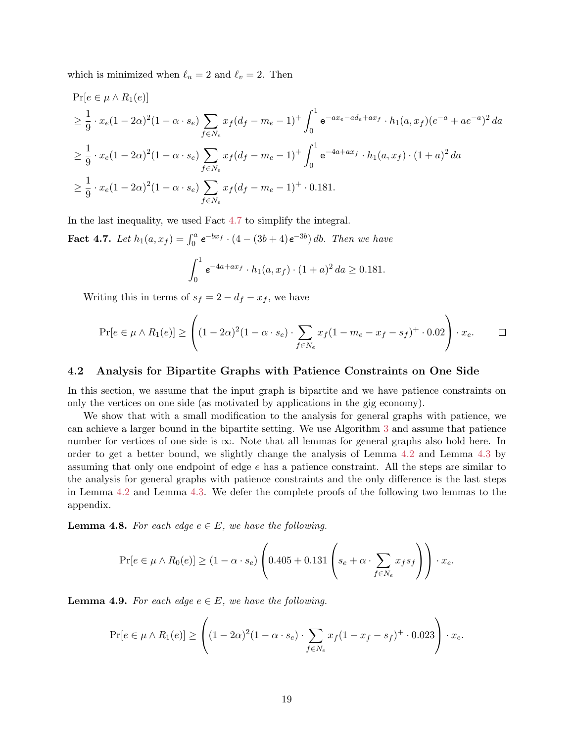which is minimized when  $\ell_u = 2$  and  $\ell_v = 2$ . Then

$$
\Pr[e \in \mu \wedge R_1(e)]
$$
\n
$$
\geq \frac{1}{9} \cdot x_e (1 - 2\alpha)^2 (1 - \alpha \cdot s_e) \sum_{f \in N_e} x_f (d_f - m_e - 1)^+ \int_0^1 e^{-ax_e - ad_e + ax_f} \cdot h_1(a, x_f) (e^{-a} + ae^{-a})^2 da
$$
\n
$$
\geq \frac{1}{9} \cdot x_e (1 - 2\alpha)^2 (1 - \alpha \cdot s_e) \sum_{f \in N_e} x_f (d_f - m_e - 1)^+ \int_0^1 e^{-4a + ax_f} \cdot h_1(a, x_f) \cdot (1 + a)^2 da
$$
\n
$$
\geq \frac{1}{9} \cdot x_e (1 - 2\alpha)^2 (1 - \alpha \cdot s_e) \sum_{f \in N_e} x_f (d_f - m_e - 1)^+ \cdot 0.181.
$$

In the last inequality, we used Fact [4.7](#page-19-0) to simplify the integral.

<span id="page-19-0"></span>**Fact 4.7.** Let  $h_1(a, x_f) = \int_0^a e^{-bx_f} \cdot (4 - (3b + 4)e^{-3b}) \, db$ . Then we have

$$
\int_0^1 e^{-4a+ax_f} \cdot h_1(a, x_f) \cdot (1+a)^2 da \ge 0.181.
$$

Writing this in terms of  $s_f = 2 - d_f - x_f$ , we have

$$
\Pr[e \in \mu \wedge R_1(e)] \ge \left( (1 - 2\alpha)^2 (1 - \alpha \cdot s_e) \cdot \sum_{f \in N_e} x_f (1 - m_e - x_f - s_f)^+ \cdot 0.02 \right) \cdot x_e. \qquad \Box
$$

#### 4.2 Analysis for Bipartite Graphs with Patience Constraints on One Side

In this section, we assume that the input graph is bipartite and we have patience constraints on only the vertices on one side (as motivated by applications in the gig economy).

We show that with a small modification to the analysis for general graphs with patience, we can achieve a larger bound in the bipartite setting. We use Algorithm [3](#page-8-0) and assume that patience number for vertices of one side is  $\infty$ . Note that all lemmas for general graphs also hold here. In order to get a better bound, we slightly change the analysis of Lemma [4.2](#page-16-1) and Lemma [4.3](#page-17-0) by assuming that only one endpoint of edge e has a patience constraint. All the steps are similar to the analysis for general graphs with patience constraints and the only difference is the last steps in Lemma [4.2](#page-16-1) and Lemma [4.3.](#page-17-0) We defer the complete proofs of the following two lemmas to the appendix.

<span id="page-19-1"></span>**Lemma 4.8.** For each edge  $e \in E$ , we have the following.

$$
\Pr[e \in \mu \wedge R_0(e)] \ge (1 - \alpha \cdot s_e) \left( 0.405 + 0.131 \left( s_e + \alpha \cdot \sum_{f \in N_e} x_f s_f \right) \right) \cdot x_e.
$$

<span id="page-19-2"></span>**Lemma 4.9.** For each edge  $e \in E$ , we have the following.

$$
\Pr[e \in \mu \wedge R_1(e)] \ge \left( (1 - 2\alpha)^2 (1 - \alpha \cdot s_e) \cdot \sum_{f \in N_e} x_f (1 - x_f - s_f)^+ \cdot 0.023 \right) \cdot x_e.
$$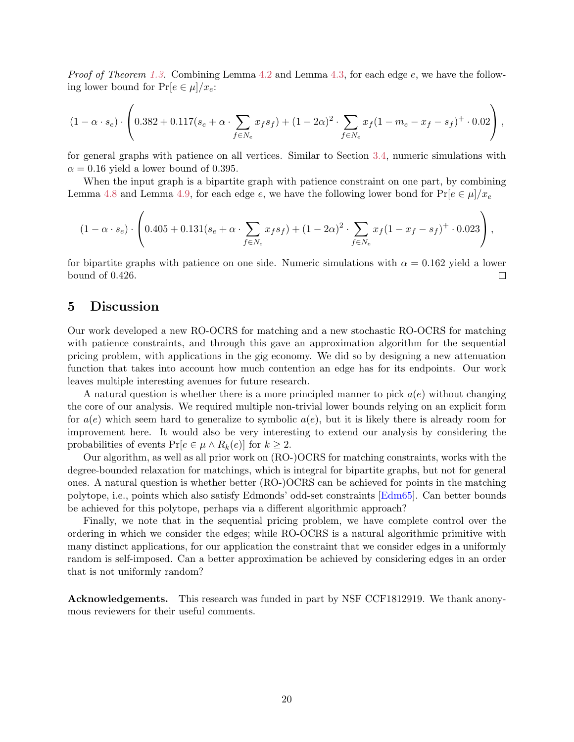<span id="page-20-0"></span>*Proof of Theorem [1.3.](#page-3-0)* Combining Lemma [4.2](#page-16-1) and Lemma [4.3,](#page-17-0) for each edge  $e$ , we have the following lower bound for  $Pr[e \in \mu]/x_e$ :

$$
(1 - \alpha \cdot s_e) \cdot \left( 0.382 + 0.117(s_e + \alpha \cdot \sum_{f \in N_e} x_f s_f) + (1 - 2\alpha)^2 \cdot \sum_{f \in N_e} x_f (1 - m_e - x_f - s_f)^+ \cdot 0.02 \right),
$$

for general graphs with patience on all vertices. Similar to Section [3.4,](#page-14-0) numeric simulations with  $\alpha = 0.16$  yield a lower bound of 0.395.

When the input graph is a bipartite graph with patience constraint on one part, by combining Lemma [4.8](#page-19-1) and Lemma [4.9,](#page-19-2) for each edge e, we have the following lower bond for  $Pr[e \in \mu]/x_e$ 

$$
(1 - \alpha \cdot s_e) \cdot \left( 0.405 + 0.131(s_e + \alpha \cdot \sum_{f \in N_e} x_f s_f) + (1 - 2\alpha)^2 \cdot \sum_{f \in N_e} x_f (1 - x_f - s_f)^+ \cdot 0.023 \right),
$$

for bipartite graphs with patience on one side. Numeric simulations with  $\alpha = 0.162$  yield a lower bound of 0.426.  $\Box$ 

## 5 Discussion

Our work developed a new RO-OCRS for matching and a new stochastic RO-OCRS for matching with patience constraints, and through this gave an approximation algorithm for the sequential pricing problem, with applications in the gig economy. We did so by designing a new attenuation function that takes into account how much contention an edge has for its endpoints. Our work leaves multiple interesting avenues for future research.

A natural question is whether there is a more principled manner to pick  $a(e)$  without changing the core of our analysis. We required multiple non-trivial lower bounds relying on an explicit form for  $a(e)$  which seem hard to generalize to symbolic  $a(e)$ , but it is likely there is already room for improvement here. It would also be very interesting to extend our analysis by considering the probabilities of events  $Pr[e \in \mu \wedge R_k(e)]$  for  $k \geq 2$ .

Our algorithm, as well as all prior work on (RO-)OCRS for matching constraints, works with the degree-bounded relaxation for matchings, which is integral for bipartite graphs, but not for general ones. A natural question is whether better (RO-)OCRS can be achieved for points in the matching polytope, i.e., points which also satisfy Edmonds' odd-set constraints [\[Edm65\]](#page-22-7). Can better bounds be achieved for this polytope, perhaps via a different algorithmic approach?

Finally, we note that in the sequential pricing problem, we have complete control over the ordering in which we consider the edges; while RO-OCRS is a natural algorithmic primitive with many distinct applications, for our application the constraint that we consider edges in a uniformly random is self-imposed. Can a better approximation be achieved by considering edges in an order that is not uniformly random?

Acknowledgements. This research was funded in part by NSF CCF1812919. We thank anonymous reviewers for their useful comments.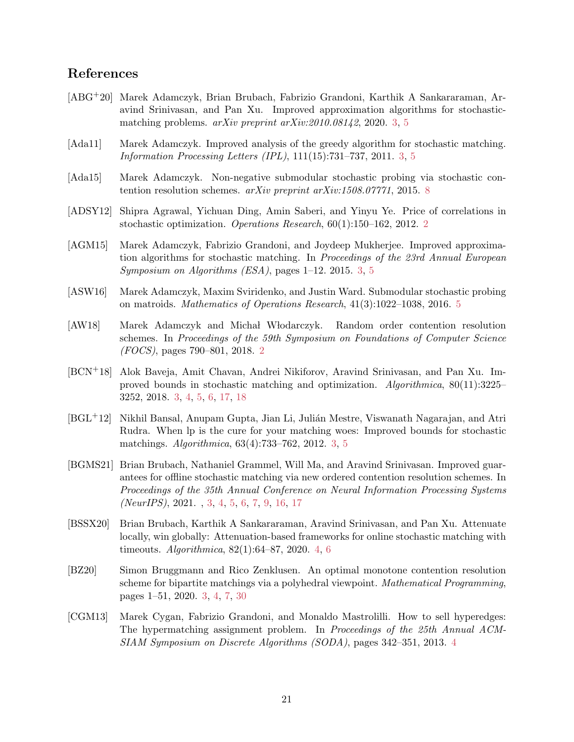# References

- <span id="page-21-8"></span>[ABG+20] Marek Adamczyk, Brian Brubach, Fabrizio Grandoni, Karthik A Sankararaman, Aravind Srinivasan, and Pan Xu. Improved approximation algorithms for stochasticmatching problems. arXiv preprint arXiv:2010.08142, 2020. [3,](#page-3-2) [5](#page-5-1)
- <span id="page-21-4"></span>[Ada11] Marek Adamczyk. Improved analysis of the greedy algorithm for stochastic matching. Information Processing Letters (IPL), 111(15):731–737, 2011. [3,](#page-3-2) [5](#page-5-1)
- <span id="page-21-12"></span>[Ada15] Marek Adamczyk. Non-negative submodular stochastic probing via stochastic contention resolution schemes. arXiv preprint arXiv:1508.07771, 2015. [8](#page-8-3)
- <span id="page-21-1"></span>[ADSY12] Shipra Agrawal, Yichuan Ding, Amin Saberi, and Yinyu Ye. Price of correlations in stochastic optimization. Operations Research, 60(1):150–162, 2012. [2](#page-2-1)
- <span id="page-21-6"></span>[AGM15] Marek Adamczyk, Fabrizio Grandoni, and Joydeep Mukherjee. Improved approximation algorithms for stochastic matching. In Proceedings of the 23rd Annual European Symposium on Algorithms (ESA), pages 1–12. 2015. [3,](#page-3-2) [5](#page-5-1)
- <span id="page-21-11"></span>[ASW16] Marek Adamczyk, Maxim Sviridenko, and Justin Ward. Submodular stochastic probing on matroids. Mathematics of Operations Research, 41(3):1022–1038, 2016. [5](#page-5-1)
- <span id="page-21-2"></span>[AW18] Marek Adamczyk and Michał Włodarczyk. Random order contention resolution schemes. In Proceedings of the 59th Symposium on Foundations of Computer Science (FOCS), pages 790–801, 2018. [2](#page-2-1)
- <span id="page-21-7"></span>[BCN+18] Alok Baveja, Amit Chavan, Andrei Nikiforov, Aravind Srinivasan, and Pan Xu. Improved bounds in stochastic matching and optimization. Algorithmica, 80(11):3225– 3252, 2018. [3,](#page-3-2) [4,](#page-4-1) [5,](#page-5-1) [6,](#page-6-7) [17,](#page-17-1) [18](#page-18-1)
- <span id="page-21-5"></span>[BGL<sup>+</sup>12] Nikhil Bansal, Anupam Gupta, Jian Li, Julián Mestre, Viswanath Nagarajan, and Atri Rudra. When lp is the cure for your matching woes: Improved bounds for stochastic matchings. Algorithmica, 63(4):733–762, 2012. [3,](#page-3-2) [5](#page-5-1)
- <span id="page-21-0"></span>[BGMS21] Brian Brubach, Nathaniel Grammel, Will Ma, and Aravind Srinivasan. Improved guarantees for offline stochastic matching via new ordered contention resolution schemes. In Proceedings of the 35th Annual Conference on Neural Information Processing Systems (NeurIPS), 2021. , [3,](#page-3-2) [4,](#page-4-1) [5,](#page-5-1) [6,](#page-6-7) [7,](#page-7-3) [9,](#page-9-4) [16,](#page-16-2) [17](#page-17-1)
- <span id="page-21-9"></span>[BSSX20] Brian Brubach, Karthik A Sankararaman, Aravind Srinivasan, and Pan Xu. Attenuate locally, win globally: Attenuation-based frameworks for online stochastic matching with timeouts. Algorithmica, 82(1):64–87, 2020. [4,](#page-4-1) [6](#page-6-7)
- <span id="page-21-3"></span>[BZ20] Simon Bruggmann and Rico Zenklusen. An optimal monotone contention resolution scheme for bipartite matchings via a polyhedral viewpoint. Mathematical Programming, pages 1–51, 2020. [3,](#page-3-2) [4,](#page-4-1) [7,](#page-7-3) [30](#page-30-1)
- <span id="page-21-10"></span>[CGM13] Marek Cygan, Fabrizio Grandoni, and Monaldo Mastrolilli. How to sell hyperedges: The hypermatching assignment problem. In Proceedings of the 25th Annual ACM-SIAM Symposium on Discrete Algorithms (SODA), pages 342–351, 2013. [4](#page-4-1)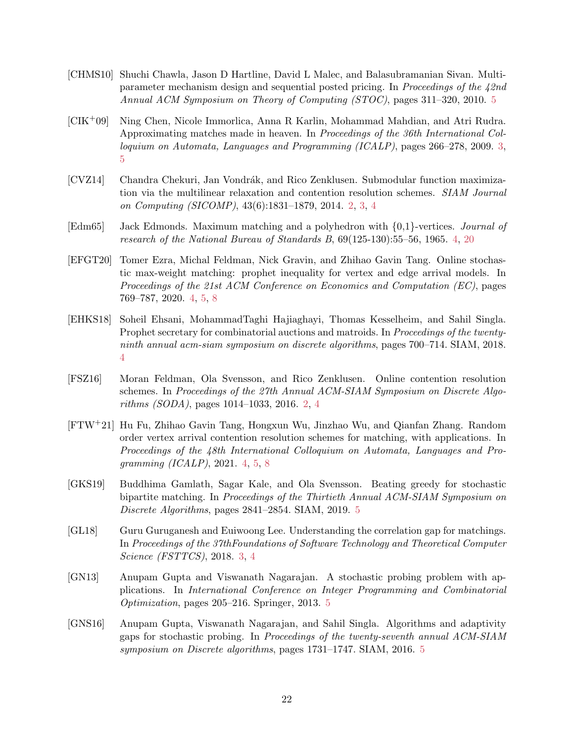- <span id="page-22-11"></span>[CHMS10] Shuchi Chawla, Jason D Hartline, David L Malec, and Balasubramanian Sivan. Multiparameter mechanism design and sequential posted pricing. In Proceedings of the 42nd Annual ACM Symposium on Theory of Computing (STOC), pages 311–320, 2010. [5](#page-5-1)
- <span id="page-22-3"></span>[CIK+09] Ning Chen, Nicole Immorlica, Anna R Karlin, Mohammad Mahdian, and Atri Rudra. Approximating matches made in heaven. In Proceedings of the 36th International Colloquium on Automata, Languages and Programming (ICALP), pages 266–278, 2009. [3,](#page-3-2) [5](#page-5-1)
- <span id="page-22-0"></span>[CVZ14] Chandra Chekuri, Jan Vondrák, and Rico Zenklusen. Submodular function maximization via the multilinear relaxation and contention resolution schemes. SIAM Journal on Computing (SICOMP), 43(6):1831–1879, 2014. [2,](#page-2-1) [3,](#page-3-2) [4](#page-4-1)
- <span id="page-22-7"></span>[Edm65] Jack Edmonds. Maximum matching and a polyhedron with {0,1}-vertices. Journal of research of the National Bureau of Standards B, 69(125-130):55–56, 1965. [4,](#page-4-1) [20](#page-20-0)
- <span id="page-22-4"></span>[EFGT20] Tomer Ezra, Michal Feldman, Nick Gravin, and Zhihao Gavin Tang. Online stochastic max-weight matching: prophet inequality for vertex and edge arrival models. In Proceedings of the 21st ACM Conference on Economics and Computation (EC), pages 769–787, 2020. [4,](#page-4-1) [5,](#page-5-1) [8](#page-8-3)
- <span id="page-22-6"></span>[EHKS18] Soheil Ehsani, MohammadTaghi Hajiaghayi, Thomas Kesselheim, and Sahil Singla. Prophet secretary for combinatorial auctions and matroids. In Proceedings of the twentyninth annual acm-siam symposium on discrete algorithms, pages 700–714. SIAM, 2018. [4](#page-4-1)
- <span id="page-22-1"></span>[FSZ16] Moran Feldman, Ola Svensson, and Rico Zenklusen. Online contention resolution schemes. In Proceedings of the 27th Annual ACM-SIAM Symposium on Discrete Algorithms (SODA), pages 1014–1033, 2016. [2,](#page-2-1) [4](#page-4-1)
- <span id="page-22-5"></span>[FTW+21] Hu Fu, Zhihao Gavin Tang, Hongxun Wu, Jinzhao Wu, and Qianfan Zhang. Random order vertex arrival contention resolution schemes for matching, with applications. In Proceedings of the 48th International Colloquium on Automata, Languages and Programming (ICALP), 2021. [4,](#page-4-1) [5,](#page-5-1) [8](#page-8-3)
- <span id="page-22-10"></span>[GKS19] Buddhima Gamlath, Sagar Kale, and Ola Svensson. Beating greedy for stochastic bipartite matching. In Proceedings of the Thirtieth Annual ACM-SIAM Symposium on Discrete Algorithms, pages 2841–2854. SIAM, 2019. [5](#page-5-1)
- <span id="page-22-2"></span>[GL18] Guru Guruganesh and Euiwoong Lee. Understanding the correlation gap for matchings. In Proceedings of the 37thFoundations of Software Technology and Theoretical Computer Science (FSTTCS), 2018. [3,](#page-3-2) [4](#page-4-1)
- <span id="page-22-8"></span>[GN13] Anupam Gupta and Viswanath Nagarajan. A stochastic probing problem with applications. In International Conference on Integer Programming and Combinatorial Optimization, pages 205–216. Springer, 2013. [5](#page-5-1)
- <span id="page-22-9"></span>[GNS16] Anupam Gupta, Viswanath Nagarajan, and Sahil Singla. Algorithms and adaptivity gaps for stochastic probing. In Proceedings of the twenty-seventh annual ACM-SIAM symposium on Discrete algorithms, pages 1731–1747. SIAM, 2016. [5](#page-5-1)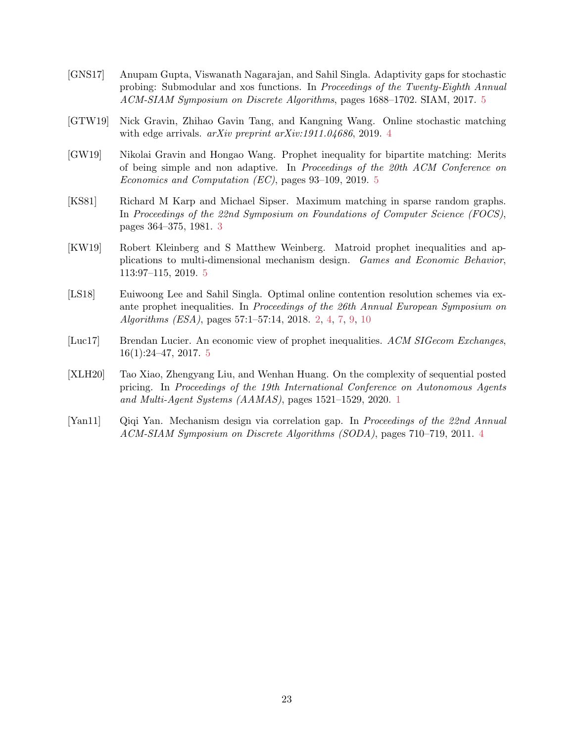- <span id="page-23-5"></span>[GNS17] Anupam Gupta, Viswanath Nagarajan, and Sahil Singla. Adaptivity gaps for stochastic probing: Submodular and xos functions. In Proceedings of the Twenty-Eighth Annual ACM-SIAM Symposium on Discrete Algorithms, pages 1688–1702. SIAM, 2017. [5](#page-5-1)
- <span id="page-23-4"></span>[GTW19] Nick Gravin, Zhihao Gavin Tang, and Kangning Wang. Online stochastic matching with edge arrivals. *arXiv preprint arXiv:1911.0[4](#page-4-1)686*, 2019. 4
- <span id="page-23-8"></span>[GW19] Nikolai Gravin and Hongao Wang. Prophet inequality for bipartite matching: Merits of being simple and non adaptive. In Proceedings of the 20th ACM Conference on Economics and Computation (EC), pages 93–109, 2019. [5](#page-5-1)
- <span id="page-23-2"></span>[KS81] Richard M Karp and Michael Sipser. Maximum matching in sparse random graphs. In Proceedings of the 22nd Symposium on Foundations of Computer Science (FOCS), pages 364–375, 1981. [3](#page-3-2)
- <span id="page-23-6"></span>[KW19] Robert Kleinberg and S Matthew Weinberg. Matroid prophet inequalities and applications to multi-dimensional mechanism design. Games and Economic Behavior, 113:97–115, 2019. [5](#page-5-1)
- <span id="page-23-1"></span>[LS18] Euiwoong Lee and Sahil Singla. Optimal online contention resolution schemes via exante prophet inequalities. In Proceedings of the 26th Annual European Symposium on Algorithms (ESA), pages 57:1–57:14, 2018. [2,](#page-2-1) [4,](#page-4-1) [7,](#page-7-3) [9,](#page-9-4) [10](#page-10-0)
- <span id="page-23-7"></span>[Luc17] Brendan Lucier. An economic view of prophet inequalities. ACM SIGecom Exchanges, 16(1):24–47, 2017. [5](#page-5-1)
- <span id="page-23-0"></span>[XLH20] Tao Xiao, Zhengyang Liu, and Wenhan Huang. On the complexity of sequential posted pricing. In Proceedings of the 19th International Conference on Autonomous Agents and Multi-Agent Systems (AAMAS), pages 1521–1529, 2020. [1](#page-1-1)
- <span id="page-23-3"></span>[Yan11] Qiqi Yan. Mechanism design via correlation gap. In Proceedings of the 22nd Annual ACM-SIAM Symposium on Discrete Algorithms (SODA), pages 710–719, 2011. [4](#page-4-1)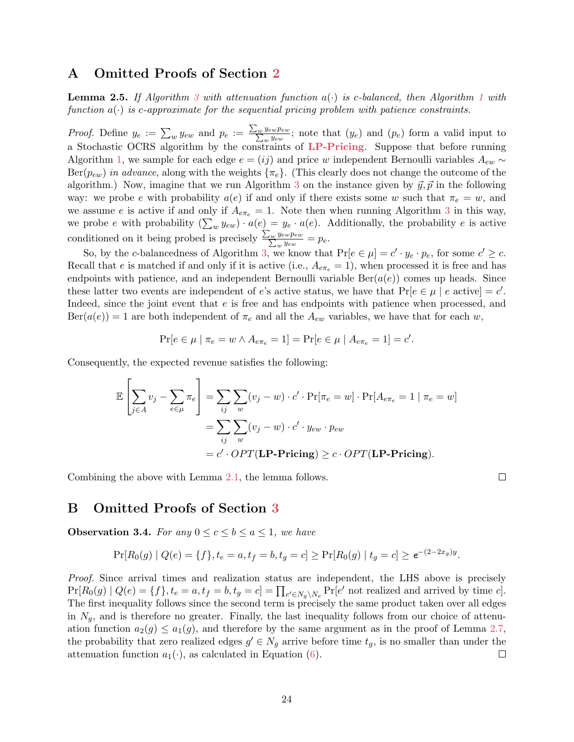# <span id="page-24-0"></span>A Omitted Proofs of Section [2](#page-5-0)

**Lemma 2.5.** If Algorithm [3](#page-8-0) with attenuation function  $a(\cdot)$  is c-balanced, then Algorithm [1](#page-6-5) with function  $a(\cdot)$  is c-approximate for the sequential pricing problem with patience constraints.

*Proof.* Define  $y_e := \sum_w y_{ew}$  and  $p_e := \frac{\sum_w y_{ew} p_{ew}}{\sum_w y_{ew}}$ ; note that  $(y_e)$  and  $(p_e)$  form a valid input to a Stochastic OCRS algorithm by the constraints of [LP-Pricing](#page-6-0). Suppose that before running Algorithm [1,](#page-6-5) we sample for each edge  $e = (ij)$  and price w independent Bernoulli variables  $A_{ew} \sim$  $Ber(p_{ew})$  in advance, along with the weights  $\{\pi_e\}$ . (This clearly does not change the outcome of the algorithm.) Now, imagine that we run Algorithm [3](#page-8-0) on the instance given by  $\vec{y}, \vec{p}$  in the following way: we probe e with probability  $a(e)$  if and only if there exists some w such that  $\pi_e = w$ , and we assume e is active if and only if  $A_{e\pi_e} = 1$ . Note then when running Algorithm [3](#page-8-0) in this way, we probe e with probability  $(\sum_w y_{ew}) \cdot a(e) = y_e \cdot a(e)$ . Additionally, the probability e is active conditioned on it being probed is precisely  $\frac{\sum_{w} y_{ew} p_{ew}}{\sum_{w} y_{ew}} = p_e$ .

So, by the c-balancedness of Algorithm [3,](#page-8-0) we know that  $Pr[e \in \mu] = c' \cdot y_e \cdot p_e$ , for some  $c' \geq c$ . Recall that e is matched if and only if it is active (i.e.,  $A_{e\pi_e} = 1$ ), when processed it is free and has endpoints with patience, and an independent Bernoulli variable  $Ber(a(e))$  comes up heads. Since these latter two events are independent of e's active status, we have that  $Pr[e \in \mu \mid e \text{ active}] = c'.$ Indeed, since the joint event that e is free and has endpoints with patience when processed, and  $\text{Ber}(a(e)) = 1$  are both independent of  $\pi_e$  and all the  $A_{ew}$  variables, we have that for each w,

$$
\Pr[e \in \mu \mid \pi_e = w \land A_{e\pi_e} = 1] = \Pr[e \in \mu \mid A_{e\pi_e} = 1] = c'.
$$

Consequently, the expected revenue satisfies the following:

$$
\mathbb{E}\left[\sum_{j\in A} v_j - \sum_{e\in \mu} \pi_e\right] = \sum_{ij} \sum_{w} (v_j - w) \cdot c' \cdot \Pr[\pi_e = w] \cdot \Pr[A_{e\pi_e} = 1 \mid \pi_e = w]
$$

$$
= \sum_{ij} \sum_{w} (v_j - w) \cdot c' \cdot y_{ew} \cdot p_{ew}
$$

$$
= c' \cdot OPT(\mathbf{LP-Pricing}) \ge c \cdot OPT(\mathbf{LP-Pricing}).
$$

Combining the above with Lemma [2.1,](#page-6-6) the lemma follows.

 $\Box$ 

# <span id="page-24-1"></span>B Omitted Proofs of Section [3](#page-11-2)

**Observation 3.4.** For any  $0 \leq c \leq b \leq a \leq 1$ , we have

$$
\Pr[R_0(g) | Q(e) = \{f\}, t_e = a, t_f = b, t_g = c] \ge \Pr[R_0(g) | t_g = c] \ge e^{-(2-2x_g)y}.
$$

Proof. Since arrival times and realization status are independent, the LHS above is precisely  $\Pr[R_0(g) | Q(e) = \{f\}, t_e = a, t_f = b, t_g = c] = \prod_{e' \in N_g \backslash N_e} \Pr[e' \text{ not realized and arrived by time } c].$ The first inequality follows since the second term is precisely the same product taken over all edges in  $N_g$ , and is therefore no greater. Finally, the last inequality follows from our choice of attenuation function  $a_2(g) \le a_1(g)$ , and therefore by the same argument as in the proof of Lemma [2.7,](#page-9-2) the probability that zero realized edges  $g' \in N_g$  arrive before time  $t_g$ , is no smaller than under the attenuation function  $a_1(\cdot)$ , as calculated in Equation [\(6\)](#page-9-0).  $\Box$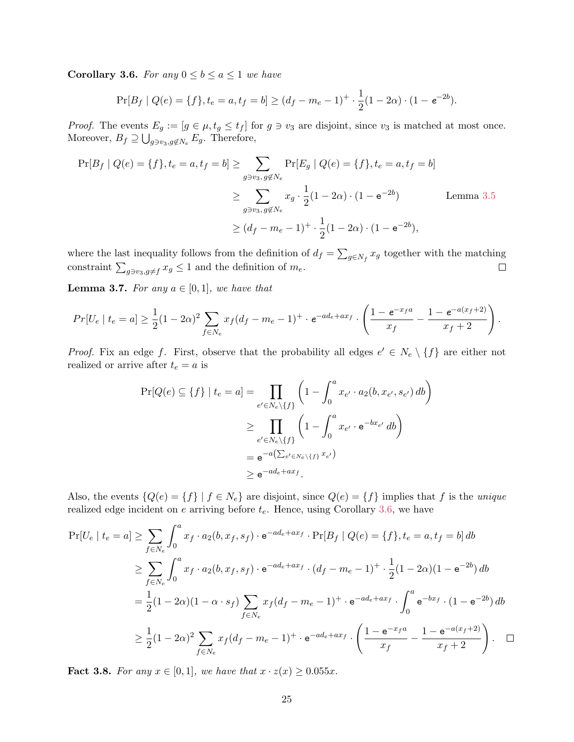**Corollary 3.6.** For any  $0 \leq b \leq a \leq 1$  we have

$$
\Pr[B_f \mid Q(e) = \{f\}, t_e = a, t_f = b] \ge (d_f - m_e - 1)^+ \cdot \frac{1}{2}(1 - 2\alpha) \cdot (1 - e^{-2b}).
$$

*Proof.* The events  $E_g := [g \in \mu, t_g \le t_f]$  for  $g \ni v_3$  are disjoint, since  $v_3$  is matched at most once. Moreover,  $B_f \supseteq \bigcup_{g \ni v_3, g \notin N_e} E_g$ . Therefore,

$$
\Pr[B_f | Q(e) = \{f\}, t_e = a, t_f = b] \ge \sum_{g \ni v_3, g \notin N_e} \Pr[E_g | Q(e) = \{f\}, t_e = a, t_f = b]
$$
  

$$
\ge \sum_{g \ni v_3, g \notin N_e} x_g \cdot \frac{1}{2} (1 - 2\alpha) \cdot (1 - e^{-2b})
$$
 Lemma 3.5  

$$
\ge (d_f - m_e - 1)^+ \cdot \frac{1}{2} (1 - 2\alpha) \cdot (1 - e^{-2b}),
$$

where the last inequality follows from the definition of  $d_f = \sum_{g \in N_f} x_g$  together with the matching constraint  $\sum_{g \ni v_3, g \neq f} x_g \leq 1$  and the definition of  $m_e$ .  $\Box$ 

**Lemma 3.7.** For any  $a \in [0,1]$ , we have that

$$
Pr[U_e \mid t_e = a] \ge \frac{1}{2}(1 - 2\alpha)^2 \sum_{f \in N_e} x_f (d_f - m_e - 1)^+ \cdot e^{-ad_e + ax_f} \cdot \left(\frac{1 - e^{-x_f a}}{x_f} - \frac{1 - e^{-a(x_f + 2)}}{x_f + 2}\right).
$$

*Proof.* Fix an edge f. First, observe that the probability all edges  $e' \in N_e \setminus \{f\}$  are either not realized or arrive after  $t_e = a$  is

$$
\Pr[Q(e) \subseteq \{f\} \mid t_e = a] = \prod_{e' \in N_e \setminus \{f\}} \left(1 - \int_0^a x_{e'} \cdot a_2(b, x_{e'}, s_{e'}) \, db\right)
$$

$$
\geq \prod_{e' \in N_e \setminus \{f\}} \left(1 - \int_0^a x_{e'} \cdot e^{-bx_{e'}} \, db\right)
$$

$$
= e^{-a\left(\sum_{e' \in N_e \setminus \{f\}} x_{e'}\right)}
$$

$$
\geq e^{-ad_e + ax_f}.
$$

Also, the events  ${Q(e) = {f} \mid f \in N_e}$  are disjoint, since  $Q(e) = {f}$  implies that f is the *unique* realized edge incident on  $e$  arriving before  $t_e$ . Hence, using Corollary [3.6,](#page-14-1) we have

$$
\Pr[U_e \mid t_e = a] \ge \sum_{f \in N_e} \int_0^a x_f \cdot a_2(b, x_f, s_f) \cdot e^{-ad_e + ax_f} \cdot \Pr[B_f \mid Q(e) = \{f\}, t_e = a, t_f = b] db
$$
  
\n
$$
\ge \sum_{f \in N_e} \int_0^a x_f \cdot a_2(b, x_f, s_f) \cdot e^{-ad_e + ax_f} \cdot (d_f - m_e - 1)^+ \cdot \frac{1}{2} (1 - 2\alpha)(1 - e^{-2b}) db
$$
  
\n
$$
= \frac{1}{2} (1 - 2\alpha)(1 - \alpha \cdot s_f) \sum_{f \in N_e} x_f (d_f - m_e - 1)^+ \cdot e^{-ad_e + ax_f} \cdot \int_0^a e^{-bx_f} \cdot (1 - e^{-2b}) db
$$
  
\n
$$
\ge \frac{1}{2} (1 - 2\alpha)^2 \sum_{f \in N_e} x_f (d_f - m_e - 1)^+ \cdot e^{-ad_e + ax_f} \cdot \left( \frac{1 - e^{-x_f a}}{x_f} - \frac{1 - e^{-a(x_f + 2)}}{x_f + 2} \right). \quad \Box
$$

**Fact 3.8.** For any  $x \in [0,1]$ , we have that  $x \cdot z(x) \geq 0.055x$ .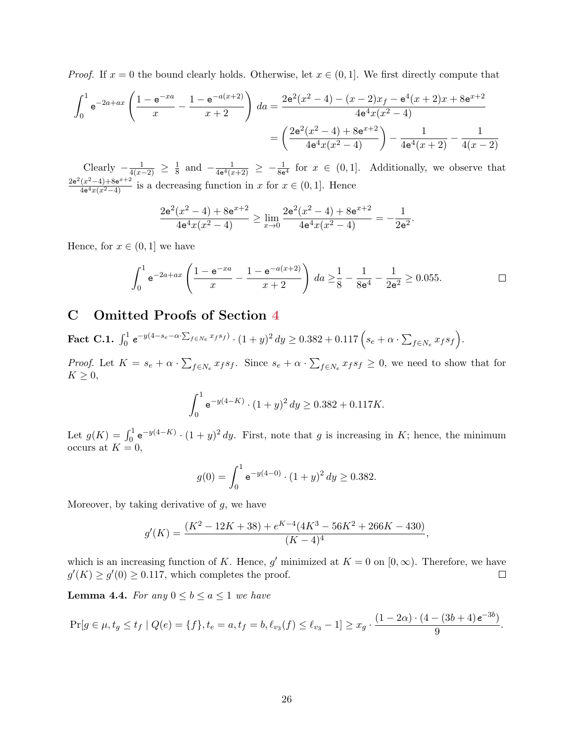*Proof.* If  $x = 0$  the bound clearly holds. Otherwise, let  $x \in (0, 1]$ . We first directly compute that

$$
\int_0^1 e^{-2a+ax} \left( \frac{1 - e^{-xa}}{x} - \frac{1 - e^{-a(x+2)}}{x+2} \right) da = \frac{2e^2(x^2 - 4) - (x-2)x_f - e^4(x+2)x + 8e^{x+2}}{4e^4x(x^2 - 4)}
$$

$$
= \left( \frac{2e^2(x^2 - 4) + 8e^{x+2}}{4e^4x(x^2 - 4)} \right) - \frac{1}{4e^4(x+2)} - \frac{1}{4(x-2)}
$$

Clearly  $-\frac{1}{4(x-2)} \geq \frac{1}{8}$  $\frac{1}{8}$  and  $-\frac{1}{4e^4(x)}$  $\frac{1}{4e^4(x+2)} \geq -\frac{1}{8e^4}$  for  $x \in (0,1]$ . Additionally, we observe that  $2e^{2}(x^{2}-4)+8e^{x+2}$  $\frac{(x^2-4)+8e^{x^2-2}}{4e^4x(x^2-4)}$  is a decreasing function in x for  $x \in (0,1]$ . Hence

$$
\frac{2e^2(x^2-4)+8e^{x+2}}{4e^4x(x^2-4)} \ge \lim_{x\to 0} \frac{2e^2(x^2-4)+8e^{x+2}}{4e^4x(x^2-4)} = -\frac{1}{2e^2}.
$$

Hence, for  $x \in (0,1]$  we have

$$
\int_0^1 e^{-2a+ax} \left( \frac{1 - e^{-xa}}{x} - \frac{1 - e^{-a(x+2)}}{x+2} \right) \, da \ge \frac{1}{8} - \frac{1}{8e^4} - \frac{1}{2e^2} \ge 0.055. \qquad \Box
$$

# <span id="page-26-1"></span>C Omitted Proofs of Section [4](#page-15-0)

<span id="page-26-0"></span> $\textbf{Fact C.1.} \ \int_0^1 e^{-y(4-s_e-\alpha\cdot\sum_{f\in Ne} x_f s_f)} \cdot (1+y)^2\,dy \geq 0.382 + 0.117\left(s_e+\alpha\cdot\sum_{f\in Ne} x_f s_f\right).$ 

*Proof.* Let  $K = s_e + \alpha \cdot \sum_{f \in N_e} x_f s_f$ . Since  $s_e + \alpha \cdot \sum_{f \in N_e} x_f s_f \geq 0$ , we need to show that for  $K \geq 0$ ,

$$
\int_0^1 e^{-y(4-K)} \cdot (1+y)^2 \, dy \ge 0.382 + 0.117K.
$$

Let  $g(K) = \int_0^1 e^{-y(4-K)} \cdot (1+y)^2 dy$ . First, note that g is increasing in K; hence, the minimum occurs at  $K = 0$ ,

$$
g(0) = \int_0^1 e^{-y(4-0)} \cdot (1+y)^2 \, dy \ge 0.382.
$$

Moreover, by taking derivative of  $g$ , we have

$$
g'(K)=\frac{(K^2-12K+38)+e^{K-4}(4K^3-56K^2+266K-430)}{(K-4)^4},
$$

which is an increasing function of K. Hence, g' minimized at  $K = 0$  on  $[0, \infty)$ . Therefore, we have  $g'(K) \ge g'(0) \ge 0.117$ , which completes the proof.  $\Box$ 

**Lemma 4.4.** For any  $0 \leq b \leq a \leq 1$  we have

$$
\Pr[g \in \mu, t_g \le t_f \mid Q(e) = \{f\}, t_e = a, t_f = b, \ell_{v_3}(f) \le \ell_{v_3} - 1] \ge x_g \cdot \frac{(1 - 2\alpha) \cdot (4 - (3b + 4)e^{-3b})}{9}.
$$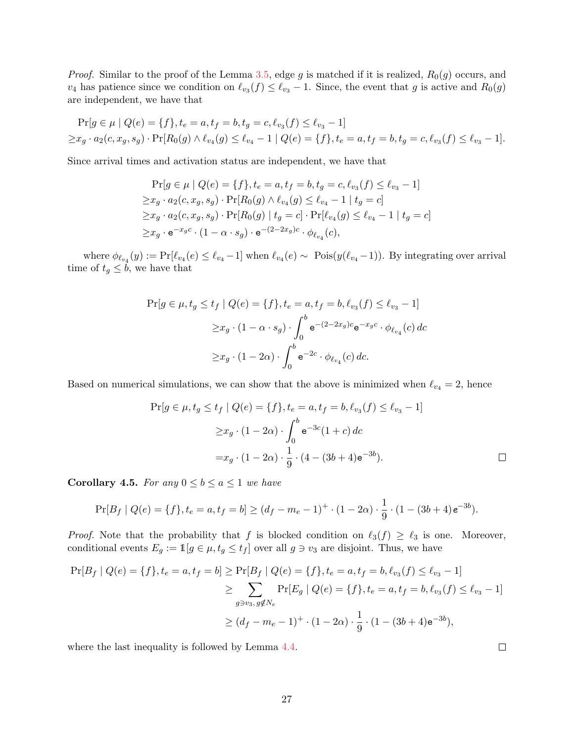*Proof.* Similar to the proof of the Lemma [3.5,](#page-13-2) edge g is matched if it is realized,  $R_0(g)$  occurs, and  $v_4$  has patience since we condition on  $\ell_{v_3}(f) \leq \ell_{v_3} - 1$ . Since, the event that g is active and  $R_0(g)$ are independent, we have that

$$
\Pr[g \in \mu \mid Q(e) = \{f\}, t_e = a, t_f = b, t_g = c, \ell_{v_3}(f) \le \ell_{v_3} - 1] \ge x_g \cdot a_2(c, x_g, s_g) \cdot \Pr[R_0(g) \land \ell_{v_4}(g) \le \ell_{v_4} - 1 \mid Q(e) = \{f\}, t_e = a, t_f = b, t_g = c, \ell_{v_3}(f) \le \ell_{v_3} - 1].
$$

Since arrival times and activation status are independent, we have that

$$
\Pr[g \in \mu \mid Q(e) = \{f\}, t_e = a, t_f = b, t_g = c, \ell_{v_3}(f) \le \ell_{v_3} - 1] \ge x_g \cdot a_2(c, x_g, s_g) \cdot \Pr[R_0(g) \land \ell_{v_4}(g) \le \ell_{v_4} - 1 \mid t_g = c] \ge x_g \cdot a_2(c, x_g, s_g) \cdot \Pr[R_0(g) \mid t_g = c] \cdot \Pr[\ell_{v_4}(g) \le \ell_{v_4} - 1 \mid t_g = c] \ge x_g \cdot e^{-x_g c} \cdot (1 - \alpha \cdot s_g) \cdot e^{-(2-2x_g)c} \cdot \phi_{\ell_{v_4}}(c),
$$

where  $\phi_{\ell_{v_4}}(y) := \Pr[\ell_{v_4}(e) \leq \ell_{v_4} - 1]$  when  $\ell_{v_4}(e) \sim \text{ Pois}(y(\ell_{v_4} - 1))$ . By integrating over arrival time of  $t_g \leq \tilde{b}$ , we have that

$$
\Pr[g \in \mu, t_g \le t_f | Q(e) = \{f\}, t_e = a, t_f = b, \ell_{v_3}(f) \le \ell_{v_3} - 1]
$$
  

$$
\ge x_g \cdot (1 - \alpha \cdot s_g) \cdot \int_0^b e^{-(2 - 2x_g)c} e^{-x_g c} \cdot \phi_{\ell_{v_4}}(c) dc
$$
  

$$
\ge x_g \cdot (1 - 2\alpha) \cdot \int_0^b e^{-2c} \cdot \phi_{\ell_{v_4}}(c) dc.
$$

Based on numerical simulations, we can show that the above is minimized when  $\ell_{v_4} = 2$ , hence

$$
\Pr[g \in \mu, t_g \le t_f \mid Q(e) = \{f\}, t_e = a, t_f = b, \ell_{v_3}(f) \le \ell_{v_3} - 1]
$$

$$
\ge x_g \cdot (1 - 2\alpha) \cdot \int_0^b e^{-3c} (1 + c) \, dc
$$

$$
= x_g \cdot (1 - 2\alpha) \cdot \frac{1}{9} \cdot (4 - (3b + 4)e^{-3b}).
$$

 $\Box$ 

**Corollary 4.5.** For any  $0 \leq b \leq a \leq 1$  we have

$$
\Pr[B_f \mid Q(e) = \{f\}, t_e = a, t_f = b] \ge (d_f - m_e - 1)^+ \cdot (1 - 2\alpha) \cdot \frac{1}{9} \cdot (1 - (3b + 4)e^{-3b}).
$$

*Proof.* Note that the probability that f is blocked condition on  $\ell_3(f) \geq \ell_3$  is one. Moreover, conditional events  $E_g := \mathbb{1}[g \in \mu, t_g \le t_f]$  over all  $g \ni v_3$  are disjoint. Thus, we have

$$
\Pr[B_f | Q(e) = \{f\}, t_e = a, t_f = b] \ge \Pr[B_f | Q(e) = \{f\}, t_e = a, t_f = b, \ell_{v_3}(f) \le \ell_{v_3} - 1] \\
\ge \sum_{g \ni v_3, g \notin N_e} \Pr[E_g | Q(e) = \{f\}, t_e = a, t_f = b, \ell_{v_3}(f) \le \ell_{v_3} - 1] \\
\ge (d_f - m_e - 1)^+ \cdot (1 - 2\alpha) \cdot \frac{1}{9} \cdot (1 - (3b + 4)e^{-3b}),
$$

where the last inequality is followed by Lemma [4.4.](#page-18-2)

27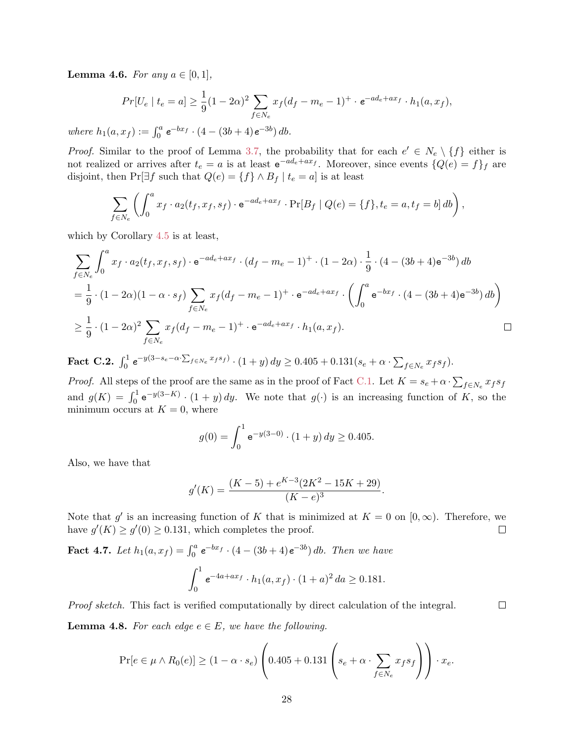**Lemma 4.6.** For any  $a \in [0, 1]$ ,

$$
Pr[U_e \mid t_e = a] \ge \frac{1}{9}(1 - 2\alpha)^2 \sum_{f \in N_e} x_f (d_f - m_e - 1)^+ \cdot e^{-ad_e + ax_f} \cdot h_1(a, x_f),
$$

where  $h_1(a, x_f) := \int_0^a e^{-bx_f} \cdot (4 - (3b + 4)e^{-3b}) \, db$ .

*Proof.* Similar to the proof of Lemma [3.7,](#page-14-2) the probability that for each  $e' \in N_e \setminus \{f\}$  either is not realized or arrives after  $t_e = a$  is at least  $e^{-ad_e+ax_f}$ . Moreover, since events  $\{Q(e) = f\}_f$  are disjoint, then Pr[∃f such that  $Q(e) = \{f\} \wedge B_f | t_e = a$ ] is at least

$$
\sum_{f \in N_e} \left( \int_0^a x_f \cdot a_2(t_f, x_f, s_f) \cdot e^{-ad_e + ax_f} \cdot \Pr[B_f \mid Q(e) = \{f\}, t_e = a, t_f = b] \, db \right),
$$

which by Corollary [4.5](#page-18-3) is at least,

$$
\sum_{f \in N_e} \int_0^a x_f \cdot a_2(t_f, x_f, s_f) \cdot e^{-ad_e + ax_f} \cdot (d_f - m_e - 1)^+ \cdot (1 - 2\alpha) \cdot \frac{1}{9} \cdot (4 - (3b + 4)e^{-3b}) db
$$
  
=  $\frac{1}{9} \cdot (1 - 2\alpha)(1 - \alpha \cdot s_f) \sum_{f \in N_e} x_f(d_f - m_e - 1)^+ \cdot e^{-ad_e + ax_f} \cdot \left( \int_0^a e^{-bx_f} \cdot (4 - (3b + 4)e^{-3b}) db \right)$   
 $\ge \frac{1}{9} \cdot (1 - 2\alpha)^2 \sum_{f \in N_e} x_f(d_f - m_e - 1)^+ \cdot e^{-ad_e + ax_f} \cdot h_1(a, x_f).$ 

<span id="page-28-0"></span>Fact C.2.  $\int_0^1 e^{-y(3-s_e-\alpha\cdot\sum_{f\in Ne}x_f s_f)} \cdot (1+y) dy \ge 0.405 + 0.131(s_e+\alpha\cdot\sum_{f\in Ne}x_f s_f).$ 

*Proof.* All steps of the proof are the same as in the proof of Fact [C.1.](#page-26-0) Let  $K = s_e + \alpha \cdot \sum_{f \in N_e} x_f s_f$ and  $g(K) = \int_0^1 e^{-y(3-K)} \cdot (1+y) dy$ . We note that  $g(\cdot)$  is an increasing function of K, so the minimum occurs at  $K = 0$ , where

$$
g(0) = \int_0^1 e^{-y(3-0)} \cdot (1+y) \, dy \ge 0.405.
$$

Also, we have that

$$
g'(K) = \frac{(K-5) + e^{K-3}(2K^2 - 15K + 29)}{(K-e)^3}.
$$

Note that g' is an increasing function of K that is minimized at  $K = 0$  on  $[0, \infty)$ . Therefore, we have  $g'(K) \ge g'(0) \ge 0.131$ , which completes the proof.  $\Box$ 

**Fact 4.7.** Let  $h_1(a, x_f) = \int_0^a e^{-bx_f} \cdot (4 - (3b + 4)e^{-3b}) \, db$ . Then we have

$$
\int_0^1 e^{-4a+ax_f} \cdot h_1(a, x_f) \cdot (1+a)^2 da \ge 0.181.
$$

Proof sketch. This fact is verified computationally by direct calculation of the integral.

 $\Box$ 

**Lemma 4.8.** For each edge  $e \in E$ , we have the following.

$$
\Pr[e \in \mu \wedge R_0(e)] \ge (1 - \alpha \cdot s_e) \left( 0.405 + 0.131 \left( s_e + \alpha \cdot \sum_{f \in N_e} x_f s_f \right) \right) \cdot x_e.
$$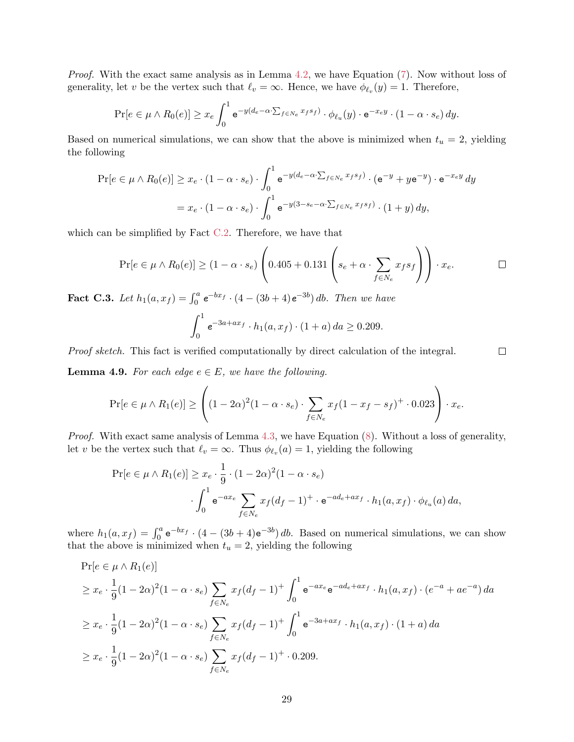*Proof.* With the exact same analysis as in Lemma [4.2,](#page-16-1) we have Equation [\(7\)](#page-17-2). Now without loss of generality, let v be the vertex such that  $\ell_v = \infty$ . Hence, we have  $\phi_{\ell_v}(y) = 1$ . Therefore,

$$
\Pr[e \in \mu \wedge R_0(e)] \ge x_e \int_0^1 e^{-y(d_e - \alpha \cdot \sum_{f \in Ne} x_f s_f)} \cdot \phi_{\ell_u}(y) \cdot e^{-x_e y} \cdot (1 - \alpha \cdot s_e) dy.
$$

Based on numerical simulations, we can show that the above is minimized when  $t_u = 2$ , yielding the following

$$
\Pr[e \in \mu \wedge R_0(e)] \ge x_e \cdot (1 - \alpha \cdot s_e) \cdot \int_0^1 e^{-y(d_e - \alpha \cdot \sum_{f \in N_e} x_f s_f)} \cdot (e^{-y} + ye^{-y}) \cdot e^{-x_e y} dy
$$

$$
= x_e \cdot (1 - \alpha \cdot s_e) \cdot \int_0^1 e^{-y(3 - s_e - \alpha \cdot \sum_{f \in N_e} x_f s_f)} \cdot (1 + y) dy,
$$

which can be simplified by Fact [C.2.](#page-28-0) Therefore, we have that

$$
\Pr[e \in \mu \wedge R_0(e)] \ge (1 - \alpha \cdot s_e) \left( 0.405 + 0.131 \left( s_e + \alpha \cdot \sum_{f \in N_e} x_f s_f \right) \right) \cdot x_e. \qquad \Box
$$

<span id="page-29-0"></span>**Fact C.3.** Let  $h_1(a, x_f) = \int_0^a e^{-bx_f} \cdot (4 - (3b + 4)e^{-3b}) \, db$ . Then we have

$$
\int_0^1 e^{-3a+ax_f} \cdot h_1(a, x_f) \cdot (1+a) \, da \ge 0.209.
$$

Proof sketch. This fact is verified computationally by direct calculation of the integral.

 $\Box$ 

**Lemma 4.9.** For each edge  $e \in E$ , we have the following.

$$
\Pr[e \in \mu \wedge R_1(e)] \ge \left( (1 - 2\alpha)^2 (1 - \alpha \cdot s_e) \cdot \sum_{f \in N_e} x_f (1 - x_f - s_f)^+ \cdot 0.023 \right) \cdot x_e.
$$

*Proof.* With exact same analysis of Lemma [4.3,](#page-17-0) we have Equation  $(8)$ . Without a loss of generality, let v be the vertex such that  $\ell_v = \infty$ . Thus  $\phi_{\ell_v}(a) = 1$ , yielding the following

$$
\Pr[e \in \mu \wedge R_1(e)] \ge x_e \cdot \frac{1}{9} \cdot (1 - 2\alpha)^2 (1 - \alpha \cdot s_e)
$$

$$
\cdot \int_0^1 e^{-ax_e} \sum_{f \in N_e} x_f (d_f - 1)^+ \cdot e^{-ad_e + ax_f} \cdot h_1(a, x_f) \cdot \phi_{\ell_u}(a) da,
$$

where  $h_1(a, x_f) = \int_0^a e^{-bx_f} \cdot (4 - (3b + 4)e^{-3b}) db$ . Based on numerical simulations, we can show that the above is minimized when  $t<sub>u</sub> = 2$ , yielding the following

$$
\Pr[e \in \mu \wedge R_1(e)]
$$
\n
$$
\geq x_e \cdot \frac{1}{9} (1 - 2\alpha)^2 (1 - \alpha \cdot s_e) \sum_{f \in N_e} x_f (d_f - 1)^+ \int_0^1 e^{-ax_e} e^{-ad_e + ax_f} \cdot h_1(a, x_f) \cdot (e^{-a} + ae^{-a}) da
$$
\n
$$
\geq x_e \cdot \frac{1}{9} (1 - 2\alpha)^2 (1 - \alpha \cdot s_e) \sum_{f \in N_e} x_f (d_f - 1)^+ \int_0^1 e^{-3a + ax_f} \cdot h_1(a, x_f) \cdot (1 + a) da
$$
\n
$$
\geq x_e \cdot \frac{1}{9} (1 - 2\alpha)^2 (1 - \alpha \cdot s_e) \sum_{f \in N_e} x_f (d_f - 1)^+ \cdot 0.209.
$$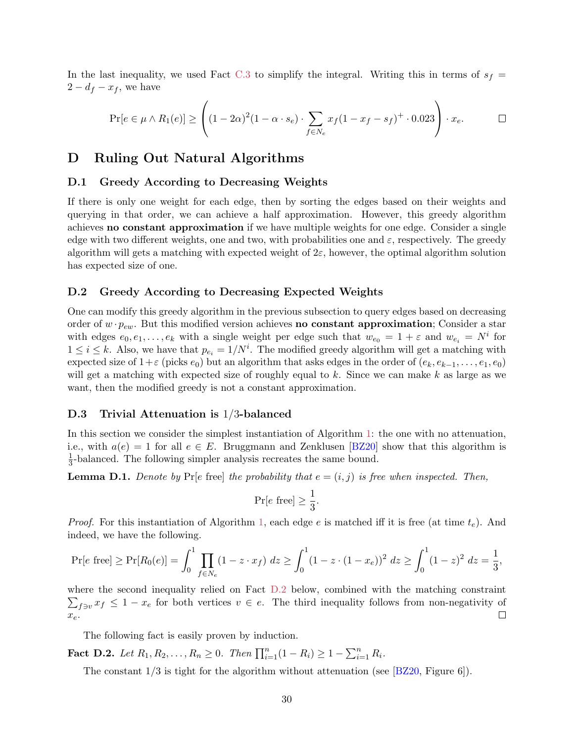<span id="page-30-1"></span>In the last inequality, we used Fact [C.3](#page-29-0) to simplify the integral. Writing this in terms of  $s_f$  =  $2 - d_f - x_f$ , we have

$$
\Pr[e \in \mu \wedge R_1(e)] \ge \left( (1 - 2\alpha)^2 (1 - \alpha \cdot s_e) \cdot \sum_{f \in N_e} x_f (1 - x_f - s_f)^+ \cdot 0.023 \right) \cdot x_e.
$$

# <span id="page-30-0"></span>D Ruling Out Natural Algorithms

#### D.1 Greedy According to Decreasing Weights

If there is only one weight for each edge, then by sorting the edges based on their weights and querying in that order, we can achieve a half approximation. However, this greedy algorithm achieves no constant approximation if we have multiple weights for one edge. Consider a single edge with two different weights, one and two, with probabilities one and  $\varepsilon$ , respectively. The greedy algorithm will gets a matching with expected weight of  $2\varepsilon$ , however, the optimal algorithm solution has expected size of one.

#### D.2 Greedy According to Decreasing Expected Weights

One can modify this greedy algorithm in the previous subsection to query edges based on decreasing order of  $w \cdot p_{ew}$ . But this modified version achieves **no constant approximation**; Consider a star with edges  $e_0, e_1, \ldots, e_k$  with a single weight per edge such that  $w_{e_0} = 1 + \varepsilon$  and  $w_{e_i} = N^i$  for  $1 \leq i \leq k$ . Also, we have that  $p_{e_i} = 1/N^i$ . The modified greedy algorithm will get a matching with expected size of  $1+\varepsilon$  (picks  $e_0$ ) but an algorithm that asks edges in the order of  $(e_k, e_{k-1}, \ldots, e_1, e_0)$ will get a matching with expected size of roughly equal to k. Since we can make k as large as we want, then the modified greedy is not a constant approximation.

### D.3 Trivial Attenuation is 1/3-balanced

In this section we consider the simplest instantiation of Algorithm [1:](#page-6-5) the one with no attenuation, i.e., with  $a(e) = 1$  for all  $e \in E$ . Bruggmann and Zenklusen [\[BZ20\]](#page-21-3) show that this algorithm is 1  $\frac{1}{3}$ -balanced. The following simpler analysis recreates the same bound.

**Lemma D.1.** Denote by Pr[e free] the probability that  $e = (i, j)$  is free when inspected. Then,

$$
\Pr[e \text{ free}] \ge \frac{1}{3}.
$$

*Proof.* For this instantiation of Algorithm [1,](#page-6-5) each edge e is matched iff it is free (at time  $t_e$ ). And indeed, we have the following.

$$
\Pr[e \text{ free}] \ge \Pr[R_0(e)] = \int_0^1 \prod_{f \in N_e} (1 - z \cdot x_f) \ dz \ge \int_0^1 (1 - z \cdot (1 - x_e))^2 \ dz \ge \int_0^1 (1 - z)^2 \ dz = \frac{1}{3},
$$

where the second inequality relied on Fact [D.2](#page-30-2) below, combined with the matching constraint  $\sum_{f \ni v} x_f \leq 1 - x_e$  for both vertices  $v \in e$ . The third inequality follows from non-negativity of  $\Box$  $x_e$ .

The following fact is easily proven by induction.

<span id="page-30-2"></span>**Fact D.2.** Let  $R_1, R_2, ..., R_n \ge 0$ . Then  $\prod_{i=1}^n (1 - R_i) \ge 1 - \sum_{i=1}^n R_i$ .

The constant  $1/3$  is tight for the algorithm without attenuation (see [\[BZ20,](#page-21-3) Figure 6]).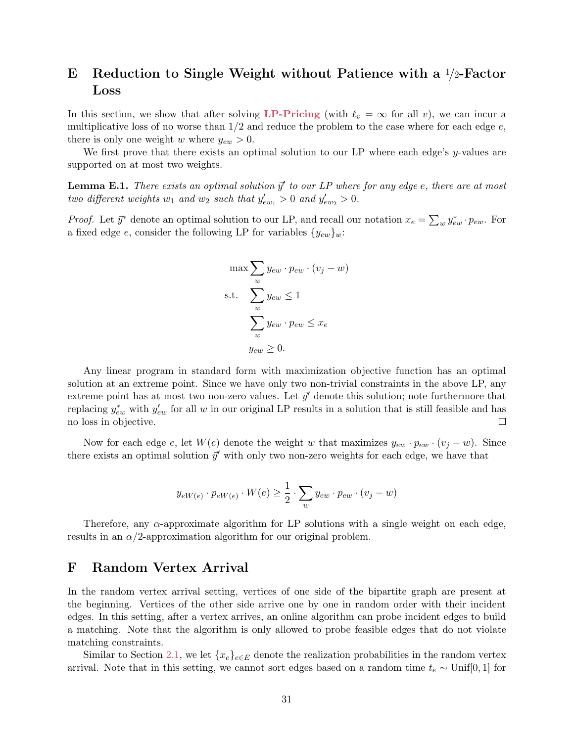# E Reduction to Single Weight without Patience with a  $1/2$ -Factor Loss

In this section, we show that after solving [LP-Pricing](#page-6-0) (with  $\ell_v = \infty$  for all v), we can incur a multiplicative loss of no worse than  $1/2$  and reduce the problem to the case where for each edge  $e$ , there is only one weight w where  $y_{ew} > 0$ .

We first prove that there exists an optimal solution to our LP where each edge's  $y$ -values are supported on at most two weights.

**Lemma E.1.** There exists an optimal solution  $\vec{y}'$  to our LP where for any edge e, there are at most two different weights  $w_1$  and  $w_2$  such that  $y'_{ew_1} > 0$  and  $y'_{ew_2} > 0$ .

*Proof.* Let  $\vec{y}^*$  denote an optimal solution to our LP, and recall our notation  $x_e = \sum_w y_{ew}^* \cdot p_{ew}$ . For a fixed edge e, consider the following LP for variables  $\{y_{ew}\}_w$ :

$$
\max \sum_{w} y_{ew} \cdot p_{ew} \cdot (v_j - w)
$$
  
s.t. 
$$
\sum_{w} y_{ew} \le 1
$$

$$
\sum_{w} y_{ew} \cdot p_{ew} \le x_e
$$

$$
y_{ew} \ge 0.
$$

Any linear program in standard form with maximization objective function has an optimal solution at an extreme point. Since we have only two non-trivial constraints in the above LP, any extreme point has at most two non-zero values. Let  $\vec{y}'$  denote this solution; note furthermore that replacing  $y_{ew}^*$  with  $y_{ew}'$  for all w in our original LP results in a solution that is still feasible and has no loss in objective.  $\Box$ 

Now for each edge e, let  $W(e)$  denote the weight w that maximizes  $y_{ew} \cdot p_{ew} \cdot (v_i - w)$ . Since there exists an optimal solution  $\vec{y}'$  with only two non-zero weights for each edge, we have that

$$
y_{eW(e)} \cdot p_{eW(e)} \cdot W(e) \ge \frac{1}{2} \cdot \sum_{w} y_{ew} \cdot p_{ew} \cdot (v_j - w)
$$

Therefore, any  $\alpha$ -approximate algorithm for LP solutions with a single weight on each edge, results in an  $\alpha/2$ -approximation algorithm for our original problem.

## <span id="page-31-0"></span>F Random Vertex Arrival

In the random vertex arrival setting, vertices of one side of the bipartite graph are present at the beginning. Vertices of the other side arrive one by one in random order with their incident edges. In this setting, after a vertex arrives, an online algorithm can probe incident edges to build a matching. Note that the algorithm is only allowed to probe feasible edges that do not violate matching constraints.

Similar to Section [2.1,](#page-9-3) we let  $\{x_e\}_{e\in E}$  denote the realization probabilities in the random vertex arrival. Note that in this setting, we cannot sort edges based on a random time  $t_e \sim \text{Unif}[0, 1]$  for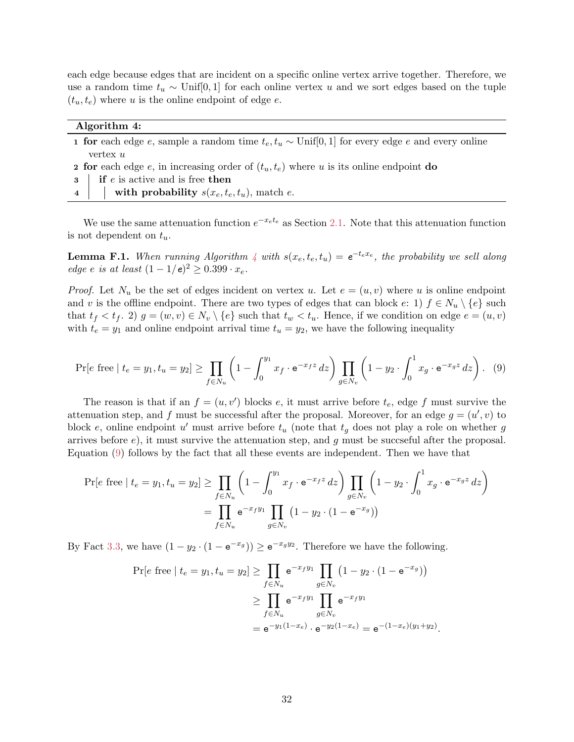each edge because edges that are incident on a specific online vertex arrive together. Therefore, we use a random time  $t_u \sim \text{Unif}[0,1]$  for each online vertex u and we sort edges based on the tuple  $(t_u, t_e)$  where u is the online endpoint of edge e.

| Algorithm 4:                                                                                                       |  |  |
|--------------------------------------------------------------------------------------------------------------------|--|--|
| <b>1 for</b> each edge e, sample a random time $t_e, t_u \sim \text{Unif}[0, 1]$ for every edge e and every online |  |  |
| vertex $u$                                                                                                         |  |  |
| <b>2</b> for each edge e, in increasing order of $(t_u, t_e)$ where u is its online endpoint do                    |  |  |
| $\mathbf{3}$   if <i>e</i> is active and is free then                                                              |  |  |

<span id="page-32-0"></span>4 with probability  $s(x_e, t_e, t_u)$ , match e.

We use the same attenuation function  $e^{-x_e t_e}$  as Section [2.1.](#page-9-3) Note that this attenuation function is not dependent on  $t_u$ .

**Lemma F.1.** When running Algorithm [4](#page-32-0) with  $s(x_e, t_e, t_u) = e^{-t_e x_e}$ , the probability we sell along edge e is at least  $(1 - 1/e)^2 \ge 0.399 \cdot x_e$ .

*Proof.* Let  $N_u$  be the set of edges incident on vertex u. Let  $e = (u, v)$  where u is online endpoint and v is the offline endpoint. There are two types of edges that can block  $e: 1$   $f \in N_u \setminus \{e\}$  such that  $t_f < t_f$ . 2)  $g = (w, v) \in N_v \setminus \{e\}$  such that  $t_w < t_u$ . Hence, if we condition on edge  $e = (u, v)$ with  $t_e = y_1$  and online endpoint arrival time  $t_u = y_2$ , we have the following inequality

<span id="page-32-1"></span>
$$
\Pr[e \text{ free} \mid t_e = y_1, t_u = y_2] \ge \prod_{f \in N_u} \left( 1 - \int_0^{y_1} x_f \cdot e^{-x_f z} \, dz \right) \prod_{g \in N_v} \left( 1 - y_2 \cdot \int_0^1 x_g \cdot e^{-x_g z} \, dz \right). \tag{9}
$$

The reason is that if an  $f = (u, v')$  blocks e, it must arrive before  $t_e$ , edge f must survive the attenuation step, and f must be successful after the proposal. Moreover, for an edge  $g = (u', v)$  to block e, online endpoint u' must arrive before  $t_u$  (note that  $t_g$  does not play a role on whether g arrives before  $e$ ), it must survive the attenuation step, and g must be succeeful after the proposal. Equation [\(9\)](#page-32-1) follows by the fact that all these events are independent. Then we have that

$$
\Pr[e \text{ free} \mid t_e = y_1, t_u = y_2] \ge \prod_{f \in N_u} \left( 1 - \int_0^{y_1} x_f \cdot e^{-x_f z} \, dz \right) \prod_{g \in N_v} \left( 1 - y_2 \cdot \int_0^1 x_g \cdot e^{-x_g z} \, dz \right)
$$
\n
$$
= \prod_{f \in N_u} e^{-x_f y_1} \prod_{g \in N_v} \left( 1 - y_2 \cdot (1 - e^{-x_g}) \right)
$$

By Fact [3.3,](#page-12-2) we have  $(1 - y_2 \cdot (1 - e^{-x_g})) \ge e^{-x_g y_2}$ . Therefore we have the following.

$$
\Pr[e \text{ free} \mid t_e = y_1, t_u = y_2] \ge \prod_{f \in N_u} e^{-x_f y_1} \prod_{g \in N_v} (1 - y_2 \cdot (1 - e^{-x_g}))
$$

$$
\ge \prod_{f \in N_u} e^{-x_f y_1} \prod_{g \in N_v} e^{-x_f y_1}
$$

$$
= e^{-y_1(1 - x_e)} \cdot e^{-y_2(1 - x_e)} = e^{-(1 - x_e)(y_1 + y_2)}.
$$